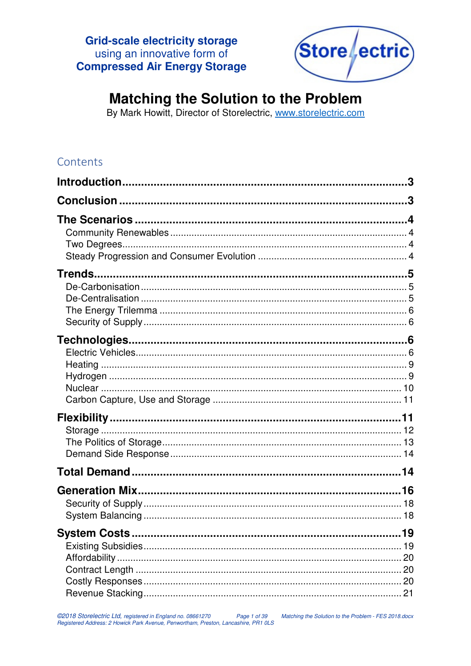

# **Matching the Solution to the Problem**<br>By Mark Howitt, Director of Storelectric, **www.storelectric.com**

# Contents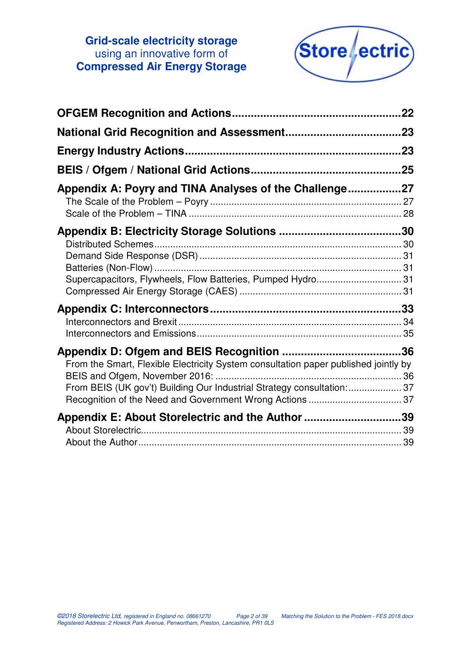

|                                                                                                                                                               | 22 |
|---------------------------------------------------------------------------------------------------------------------------------------------------------------|----|
|                                                                                                                                                               |    |
|                                                                                                                                                               |    |
|                                                                                                                                                               |    |
| Appendix A: Poyry and TINA Analyses of the Challenge27                                                                                                        |    |
|                                                                                                                                                               |    |
| Supercapacitors, Flywheels, Flow Batteries, Pumped Hydro 31                                                                                                   |    |
|                                                                                                                                                               |    |
| From the Smart, Flexible Electricity System consultation paper published jointly by<br>From BEIS (UK gov't) Building Our Industrial Strategy consultation: 37 |    |
| Appendix E: About Storelectric and the Author 39                                                                                                              |    |
|                                                                                                                                                               |    |
|                                                                                                                                                               |    |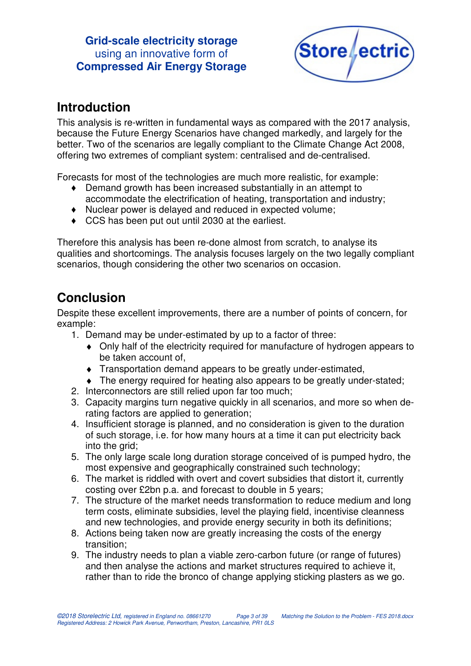

# **Introduction**

This analysis is re-written in fundamental ways as compared with the 2017 analysis, because the Future Energy Scenarios have changed markedly, and largely for the better. Two of the scenarios are legally compliant to the Climate Change Act 2008, offering two extremes of compliant system: centralised and de-centralised.

Forecasts for most of the technologies are much more realistic, for example:

- ♦ Demand growth has been increased substantially in an attempt to accommodate the electrification of heating, transportation and industry;
- ♦ Nuclear power is delayed and reduced in expected volume;
- ♦ CCS has been put out until 2030 at the earliest.

Therefore this analysis has been re-done almost from scratch, to analyse its qualities and shortcomings. The analysis focuses largely on the two legally compliant scenarios, though considering the other two scenarios on occasion.

# **Conclusion**

Despite these excellent improvements, there are a number of points of concern, for example:

- 1. Demand may be under-estimated by up to a factor of three:
	- ♦ Only half of the electricity required for manufacture of hydrogen appears to be taken account of,
	- ♦ Transportation demand appears to be greatly under-estimated,
	- ♦ The energy required for heating also appears to be greatly under-stated;
- 2. Interconnectors are still relied upon far too much;
- 3. Capacity margins turn negative quickly in all scenarios, and more so when derating factors are applied to generation;
- 4. Insufficient storage is planned, and no consideration is given to the duration of such storage, i.e. for how many hours at a time it can put electricity back into the grid;
- 5. The only large scale long duration storage conceived of is pumped hydro, the most expensive and geographically constrained such technology;
- 6. The market is riddled with overt and covert subsidies that distort it, currently costing over £2bn p.a. and forecast to double in 5 years;
- 7. The structure of the market needs transformation to reduce medium and long term costs, eliminate subsidies, level the playing field, incentivise cleanness and new technologies, and provide energy security in both its definitions;
- 8. Actions being taken now are greatly increasing the costs of the energy transition;
- 9. The industry needs to plan a viable zero-carbon future (or range of futures) and then analyse the actions and market structures required to achieve it, rather than to ride the bronco of change applying sticking plasters as we go.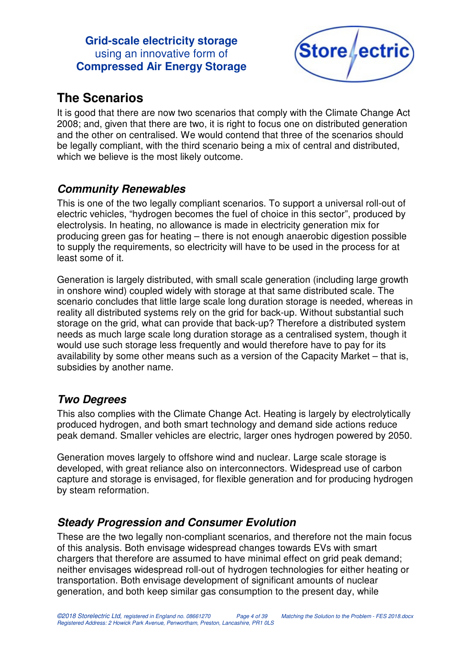

# **The Scenarios**

It is good that there are now two scenarios that comply with the Climate Change Act 2008; and, given that there are two, it is right to focus one on distributed generation and the other on centralised. We would contend that three of the scenarios should be legally compliant, with the third scenario being a mix of central and distributed, which we believe is the most likely outcome.

# **Community Renewables**

This is one of the two legally compliant scenarios. To support a universal roll-out of electric vehicles, "hydrogen becomes the fuel of choice in this sector", produced by electrolysis. In heating, no allowance is made in electricity generation mix for producing green gas for heating – there is not enough anaerobic digestion possible to supply the requirements, so electricity will have to be used in the process for at least some of it.

Generation is largely distributed, with small scale generation (including large growth in onshore wind) coupled widely with storage at that same distributed scale. The scenario concludes that little large scale long duration storage is needed, whereas in reality all distributed systems rely on the grid for back-up. Without substantial such storage on the grid, what can provide that back-up? Therefore a distributed system needs as much large scale long duration storage as a centralised system, though it would use such storage less frequently and would therefore have to pay for its availability by some other means such as a version of the Capacity Market – that is, subsidies by another name.

# **Two Degrees**

This also complies with the Climate Change Act. Heating is largely by electrolytically produced hydrogen, and both smart technology and demand side actions reduce peak demand. Smaller vehicles are electric, larger ones hydrogen powered by 2050.

Generation moves largely to offshore wind and nuclear. Large scale storage is developed, with great reliance also on interconnectors. Widespread use of carbon capture and storage is envisaged, for flexible generation and for producing hydrogen by steam reformation.

# **Steady Progression and Consumer Evolution**

These are the two legally non-compliant scenarios, and therefore not the main focus of this analysis. Both envisage widespread changes towards EVs with smart chargers that therefore are assumed to have minimal effect on grid peak demand; neither envisages widespread roll-out of hydrogen technologies for either heating or transportation. Both envisage development of significant amounts of nuclear generation, and both keep similar gas consumption to the present day, while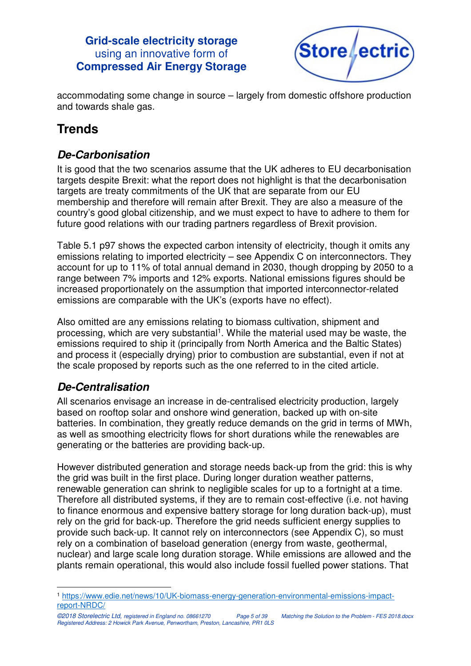

accommodating some change in source – largely from domestic offshore production and towards shale gas.

# **Trends**

## **De-Carbonisation**

It is good that the two scenarios assume that the UK adheres to EU decarbonisation targets despite Brexit: what the report does not highlight is that the decarbonisation targets are treaty commitments of the UK that are separate from our EU membership and therefore will remain after Brexit. They are also a measure of the country's good global citizenship, and we must expect to have to adhere to them for future good relations with our trading partners regardless of Brexit provision.

Table 5.1 p97 shows the expected carbon intensity of electricity, though it omits any emissions relating to imported electricity – see Appendix C on interconnectors. They account for up to 11% of total annual demand in 2030, though dropping by 2050 to a range between 7% imports and 12% exports. National emissions figures should be increased proportionately on the assumption that imported interconnector-related emissions are comparable with the UK's (exports have no effect).

Also omitted are any emissions relating to biomass cultivation, shipment and processing, which are very substantial<sup>1</sup>. While the material used may be waste, the emissions required to ship it (principally from North America and the Baltic States) and process it (especially drying) prior to combustion are substantial, even if not at the scale proposed by reports such as the one referred to in the cited article.

# **De-Centralisation**

 $\overline{a}$ 

All scenarios envisage an increase in de-centralised electricity production, largely based on rooftop solar and onshore wind generation, backed up with on-site batteries. In combination, they greatly reduce demands on the grid in terms of MWh, as well as smoothing electricity flows for short durations while the renewables are generating or the batteries are providing back-up.

However distributed generation and storage needs back-up from the grid: this is why the grid was built in the first place. During longer duration weather patterns, renewable generation can shrink to negligible scales for up to a fortnight at a time. Therefore all distributed systems, if they are to remain cost-effective (i.e. not having to finance enormous and expensive battery storage for long duration back-up), must rely on the grid for back-up. Therefore the grid needs sufficient energy supplies to provide such back-up. It cannot rely on interconnectors (see Appendix C), so must rely on a combination of baseload generation (energy from waste, geothermal, nuclear) and large scale long duration storage. While emissions are allowed and the plants remain operational, this would also include fossil fuelled power stations. That

<sup>1</sup> https://www.edie.net/news/10/UK-biomass-energy-generation-environmental-emissions-impactreport-NRDC/

<sup>©2018</sup> Storelectric Ltd, registered in England no. 08661270 Page 5 of 39 Matching the Solution to the Problem - FES 2018.docx Registered Address: 2 Howick Park Avenue, Penwortham, Preston, Lancashire, PR1 0LS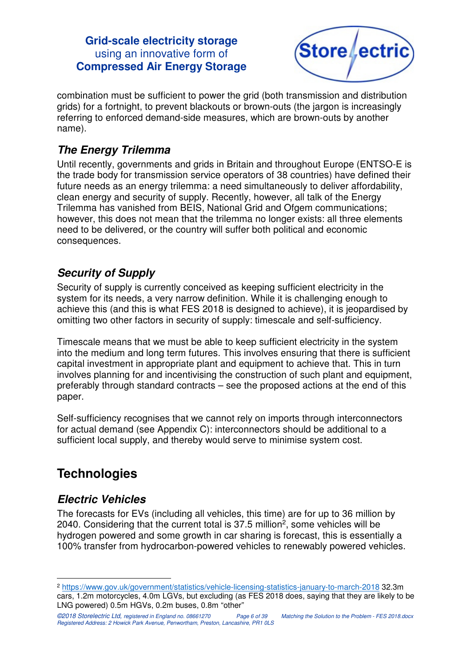

combination must be sufficient to power the grid (both transmission and distribution grids) for a fortnight, to prevent blackouts or brown-outs (the jargon is increasingly referring to enforced demand-side measures, which are brown-outs by another name).

# **The Energy Trilemma**

Until recently, governments and grids in Britain and throughout Europe (ENTSO-E is the trade body for transmission service operators of 38 countries) have defined their future needs as an energy trilemma: a need simultaneously to deliver affordability, clean energy and security of supply. Recently, however, all talk of the Energy Trilemma has vanished from BEIS, National Grid and Ofgem communications; however, this does not mean that the trilemma no longer exists: all three elements need to be delivered, or the country will suffer both political and economic consequences.

# **Security of Supply**

Security of supply is currently conceived as keeping sufficient electricity in the system for its needs, a very narrow definition. While it is challenging enough to achieve this (and this is what FES 2018 is designed to achieve), it is jeopardised by omitting two other factors in security of supply: timescale and self-sufficiency.

Timescale means that we must be able to keep sufficient electricity in the system into the medium and long term futures. This involves ensuring that there is sufficient capital investment in appropriate plant and equipment to achieve that. This in turn involves planning for and incentivising the construction of such plant and equipment, preferably through standard contracts – see the proposed actions at the end of this paper.

Self-sufficiency recognises that we cannot rely on imports through interconnectors for actual demand (see Appendix C): interconnectors should be additional to a sufficient local supply, and thereby would serve to minimise system cost.

# **Technologies**

# **Electric Vehicles**

 $\overline{a}$ 

The forecasts for EVs (including all vehicles, this time) are for up to 36 million by 2040. Considering that the current total is 37.5 million<sup>2</sup>, some vehicles will be hydrogen powered and some growth in car sharing is forecast, this is essentially a 100% transfer from hydrocarbon-powered vehicles to renewably powered vehicles.

<sup>2</sup> https://www.gov.uk/government/statistics/vehicle-licensing-statistics-january-to-march-2018 32.3m cars, 1.2m motorcycles, 4.0m LGVs, but excluding (as FES 2018 does, saying that they are likely to be LNG powered) 0.5m HGVs, 0.2m buses, 0.8m "other"

<sup>©2018</sup> Storelectric Ltd, registered in England no. 08661270 Page 6 of 39 Matching the Solution to the Problem - FES 2018.docx Registered Address: 2 Howick Park Avenue, Penwortham, Preston, Lancashire, PR1 0LS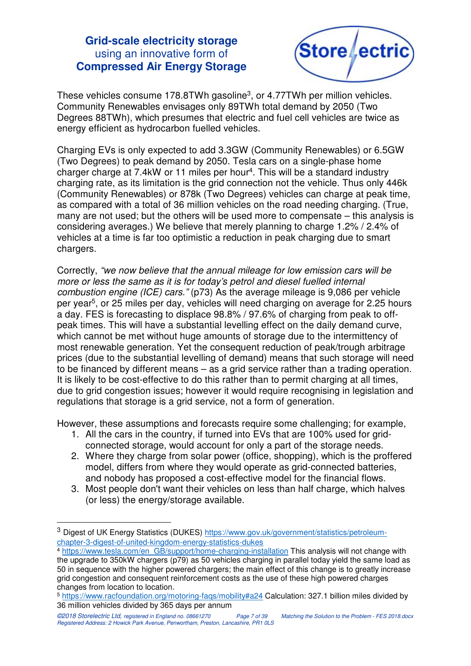

These vehicles consume 178.8TWh gasoline<sup>3</sup>, or 4.77TWh per million vehicles. Community Renewables envisages only 89TWh total demand by 2050 (Two Degrees 88TWh), which presumes that electric and fuel cell vehicles are twice as energy efficient as hydrocarbon fuelled vehicles.

Charging EVs is only expected to add 3.3GW (Community Renewables) or 6.5GW (Two Degrees) to peak demand by 2050. Tesla cars on a single-phase home charger charge at 7.4kW or 11 miles per hour<sup>4</sup>. This will be a standard industry charging rate, as its limitation is the grid connection not the vehicle. Thus only 446k (Community Renewables) or 878k (Two Degrees) vehicles can charge at peak time, as compared with a total of 36 million vehicles on the road needing charging. (True, many are not used; but the others will be used more to compensate – this analysis is considering averages.) We believe that merely planning to charge 1.2% / 2.4% of vehicles at a time is far too optimistic a reduction in peak charging due to smart chargers.

Correctly, "we now believe that the annual mileage for low emission cars will be more or less the same as it is for today's petrol and diesel fuelled internal combustion engine (ICE) cars." (p73) As the average mileage is 9,086 per vehicle per year<sup>5</sup>, or 25 miles per day, vehicles will need charging on average for 2.25 hours a day. FES is forecasting to displace 98.8% / 97.6% of charging from peak to offpeak times. This will have a substantial levelling effect on the daily demand curve, which cannot be met without huge amounts of storage due to the intermittency of most renewable generation. Yet the consequent reduction of peak/trough arbitrage prices (due to the substantial levelling of demand) means that such storage will need to be financed by different means – as a grid service rather than a trading operation. It is likely to be cost-effective to do this rather than to permit charging at all times, due to grid congestion issues; however it would require recognising in legislation and regulations that storage is a grid service, not a form of generation.

However, these assumptions and forecasts require some challenging; for example,

- 1. All the cars in the country, if turned into EVs that are 100% used for gridconnected storage, would account for only a part of the storage needs.
- 2. Where they charge from solar power (office, shopping), which is the proffered model, differs from where they would operate as grid-connected batteries, and nobody has proposed a cost-effective model for the financial flows.
- 3. Most people don't want their vehicles on less than half charge, which halves (or less) the energy/storage available.

 $\overline{a}$ 

<sup>&</sup>lt;sup>3</sup> Digest of UK Energy Statistics (DUKES) https://www.gov.uk/government/statistics/petroleumchapter-3-digest-of-united-kingdom-energy-statistics-dukes

<sup>4</sup> https://www.tesla.com/en\_GB/support/home-charging-installation This analysis will not change with the upgrade to 350kW chargers (p79) as 50 vehicles charging in parallel today yield the same load as 50 in sequence with the higher powered chargers; the main effect of this change is to greatly increase grid congestion and consequent reinforcement costs as the use of these high powered charges changes from location to location.

<sup>5</sup> https://www.racfoundation.org/motoring-faqs/mobility#a24 Calculation: 327.1 billion miles divided by 36 million vehicles divided by 365 days per annum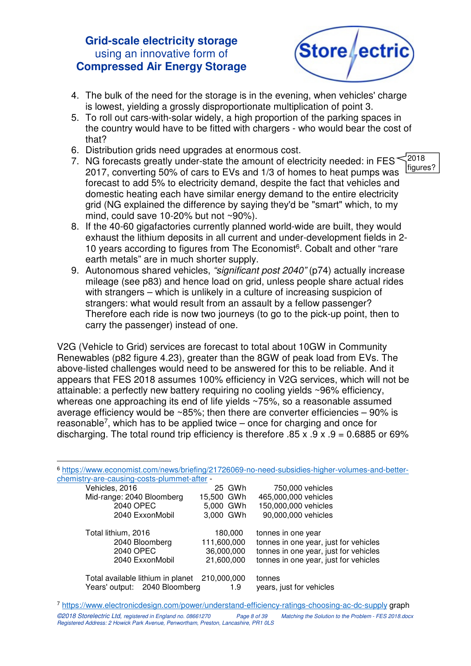![](_page_7_Picture_1.jpeg)

- 4. The bulk of the need for the storage is in the evening, when vehicles' charge is lowest, yielding a grossly disproportionate multiplication of point 3.
- 5. To roll out cars-with-solar widely, a high proportion of the parking spaces in the country would have to be fitted with chargers - who would bear the cost of that?
- 6. Distribution grids need upgrades at enormous cost.
- 7. NG forecasts greatly under-state the amount of electricity needed: in FES 2017, converting 50% of cars to EVs and 1/3 of homes to heat pumps was forecast to add 5% to electricity demand, despite the fact that vehicles and domestic heating each have similar energy demand to the entire electricity grid (NG explained the difference by saying they'd be "smart" which, to my mind, could save 10-20% but not ~90%).  $'2018$ figures?
- 8. If the 40-60 gigafactories currently planned world-wide are built, they would exhaust the lithium deposits in all current and under-development fields in 2- 10 years according to figures from The Economist<sup>6</sup>. Cobalt and other "rare earth metals" are in much shorter supply.
- 9. Autonomous shared vehicles, "significant post 2040" (p74) actually increase mileage (see p83) and hence load on grid, unless people share actual rides with strangers – which is unlikely in a culture of increasing suspicion of strangers: what would result from an assault by a fellow passenger? Therefore each ride is now two journeys (to go to the pick-up point, then to carry the passenger) instead of one.

V2G (Vehicle to Grid) services are forecast to total about 10GW in Community Renewables (p82 figure 4.23), greater than the 8GW of peak load from EVs. The above-listed challenges would need to be answered for this to be reliable. And it appears that FES 2018 assumes 100% efficiency in V2G services, which will not be attainable: a perfectly new battery requiring no cooling yields ~96% efficiency, whereas one approaching its end of life yields ~75%, so a reasonable assumed average efficiency would be ~85%; then there are converter efficiencies – 90% is reasonable<sup>7</sup>, which has to be applied twice  $-$  once for charging and once for discharging. The total round trip efficiency is therefore .85 x .9 x .9 = 0.6885 or 69%

| chemistry-are-causing-costs-plummet-after - |             |                                       |
|---------------------------------------------|-------------|---------------------------------------|
| Vehicles, 2016                              | 25 GWh      | 750,000 vehicles                      |
| Mid-range: 2040 Bloomberg                   | 15,500 GWh  | 465,000,000 vehicles                  |
| 2040 OPEC                                   | 5,000 GWh   | 150,000,000 vehicles                  |
| 2040 ExxonMobil                             | 3,000 GWh   | 90,000,000 vehicles                   |
| Total lithium, 2016                         | 180,000     | tonnes in one year                    |
| 2040 Bloomberg                              | 111,600,000 | tonnes in one year, just for vehicles |
| 2040 OPEC                                   | 36,000,000  | tonnes in one year, just for vehicles |
| 2040 ExxonMobil                             | 21,600,000  | tonnes in one year, just for vehicles |
| Total available lithium in planet           | 210,000,000 | tonnes                                |
| Years' output: 2040 Bloomberg               | 1.9         | years, just for vehicles              |

<sup>6</sup> https://www.economist.com/news/briefing/21726069-no-need-subsidies-higher-volumes-and-betterchemistry-are-causing-costs-plummet-after -

 $\overline{a}$ 

<sup>©2018</sup> Storelectric Ltd, registered in England no. 08661270 Page 8 of 39 Matching the Solution to the Problem - FES 2018.docx Registered Address: 2 Howick Park Avenue, Penwortham, Preston, Lancashire, PR1 0LS <sup>7</sup> https://www.electronicdesign.com/power/understand-efficiency-ratings-choosing-ac-dc-supply graph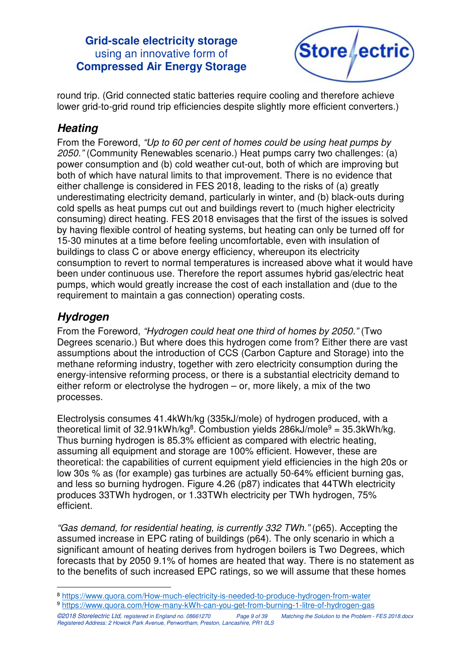![](_page_8_Picture_1.jpeg)

round trip. (Grid connected static batteries require cooling and therefore achieve lower grid-to-grid round trip efficiencies despite slightly more efficient converters.)

# **Heating**

From the Foreword, "Up to 60 per cent of homes could be using heat pumps by 2050." (Community Renewables scenario.) Heat pumps carry two challenges: (a) power consumption and (b) cold weather cut-out, both of which are improving but both of which have natural limits to that improvement. There is no evidence that either challenge is considered in FES 2018, leading to the risks of (a) greatly underestimating electricity demand, particularly in winter, and (b) black-outs during cold spells as heat pumps cut out and buildings revert to (much higher electricity consuming) direct heating. FES 2018 envisages that the first of the issues is solved by having flexible control of heating systems, but heating can only be turned off for 15-30 minutes at a time before feeling uncomfortable, even with insulation of buildings to class C or above energy efficiency, whereupon its electricity consumption to revert to normal temperatures is increased above what it would have been under continuous use. Therefore the report assumes hybrid gas/electric heat pumps, which would greatly increase the cost of each installation and (due to the requirement to maintain a gas connection) operating costs.

# **Hydrogen**

From the Foreword, "Hydrogen could heat one third of homes by 2050." (Two Degrees scenario.) But where does this hydrogen come from? Either there are vast assumptions about the introduction of CCS (Carbon Capture and Storage) into the methane reforming industry, together with zero electricity consumption during the energy-intensive reforming process, or there is a substantial electricity demand to either reform or electrolyse the hydrogen – or, more likely, a mix of the two processes.

Electrolysis consumes 41.4kWh/kg (335kJ/mole) of hydrogen produced, with a theoretical limit of 32.91kWh/kg<sup>8</sup>. Combustion yields 286kJ/mole<sup>9</sup> = 35.3kWh/kg. Thus burning hydrogen is 85.3% efficient as compared with electric heating, assuming all equipment and storage are 100% efficient. However, these are theoretical: the capabilities of current equipment yield efficiencies in the high 20s or low 30s % as (for example) gas turbines are actually 50-64% efficient burning gas, and less so burning hydrogen. Figure 4.26 (p87) indicates that 44TWh electricity produces 33TWh hydrogen, or 1.33TWh electricity per TWh hydrogen, 75% efficient.

"Gas demand, for residential heating, is currently 332 TWh." (p65). Accepting the assumed increase in EPC rating of buildings (p64). The only scenario in which a significant amount of heating derives from hydrogen boilers is Two Degrees, which forecasts that by 2050 9.1% of homes are heated that way. There is no statement as to the benefits of such increased EPC ratings, so we will assume that these homes

 $\overline{a}$ <sup>8</sup> https://www.quora.com/How-much-electricity-is-needed-to-produce-hydrogen-from-water

<sup>9</sup> https://www.quora.com/How-many-kWh-can-you-get-from-burning-1-litre-of-hydrogen-gas

<sup>©2018</sup> Storelectric Ltd, registered in England no. 08661270 Page 9 of 39 Matching the Solution to the Problem - FES 2018.docx Registered Address: 2 Howick Park Avenue, Penwortham, Preston, Lancashire, PR1 0LS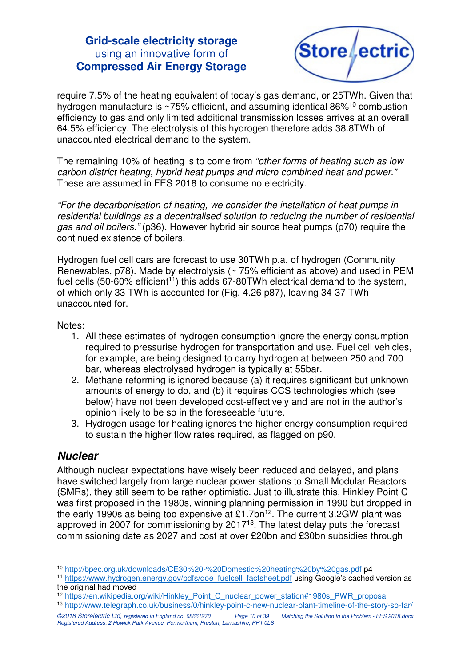![](_page_9_Picture_1.jpeg)

require 7.5% of the heating equivalent of today's gas demand, or 25TWh. Given that hydrogen manufacture is  $\sim$ 75% efficient, and assuming identical 86%<sup>10</sup> combustion efficiency to gas and only limited additional transmission losses arrives at an overall 64.5% efficiency. The electrolysis of this hydrogen therefore adds 38.8TWh of unaccounted electrical demand to the system.

The remaining 10% of heating is to come from "other forms of heating such as low carbon district heating, hybrid heat pumps and micro combined heat and power." These are assumed in FES 2018 to consume no electricity.

"For the decarbonisation of heating, we consider the installation of heat pumps in residential buildings as a decentralised solution to reducing the number of residential gas and oil boilers." (p36). However hybrid air source heat pumps (p70) require the continued existence of boilers.

Hydrogen fuel cell cars are forecast to use 30TWh p.a. of hydrogen (Community Renewables, p78). Made by electrolysis (~ 75% efficient as above) and used in PEM fuel cells  $(50-60\%$  efficient<sup>11</sup>) this adds  $67-80$ TWh electrical demand to the system. of which only 33 TWh is accounted for (Fig. 4.26 p87), leaving 34-37 TWh unaccounted for.

Notes:

- 1. All these estimates of hydrogen consumption ignore the energy consumption required to pressurise hydrogen for transportation and use. Fuel cell vehicles, for example, are being designed to carry hydrogen at between 250 and 700 bar, whereas electrolysed hydrogen is typically at 55bar.
- 2. Methane reforming is ignored because (a) it requires significant but unknown amounts of energy to do, and (b) it requires CCS technologies which (see below) have not been developed cost-effectively and are not in the author's opinion likely to be so in the foreseeable future.
- 3. Hydrogen usage for heating ignores the higher energy consumption required to sustain the higher flow rates required, as flagged on p90.

# **Nuclear**

Although nuclear expectations have wisely been reduced and delayed, and plans have switched largely from large nuclear power stations to Small Modular Reactors (SMRs), they still seem to be rather optimistic. Just to illustrate this, Hinkley Point C was first proposed in the 1980s, winning planning permission in 1990 but dropped in the early 1990s as being too expensive at £1.7bn<sup>12</sup>. The current 3.2GW plant was approved in 2007 for commissioning by 2017<sup>13</sup>. The latest delay puts the forecast commissioning date as 2027 and cost at over £20bn and £30bn subsidies through

12 https://en.wikipedia.org/wiki/Hinkley\_Point\_C\_nuclear\_power\_station#1980s\_PWR\_proposal

 $\overline{a}$ <sup>10</sup> http://bpec.org.uk/downloads/CE30%20-%20Domestic%20heating%20by%20gas.pdf p4

<sup>11</sup> https://www.hydrogen.energy.gov/pdfs/doe\_fuelcell\_factsheet.pdf using Google's cached version as the original had moved

<sup>13</sup> http://www.telegraph.co.uk/business/0/hinkley-point-c-new-nuclear-plant-timeline-of-the-story-so-far/

<sup>©2018</sup> Storelectric Ltd, registered in England no. 08661270 Page 10 of 39 Matching the Solution to the Problem - FES 2018.docx Registered Address: 2 Howick Park Avenue, Penwortham, Preston, Lancashire, PR1 0LS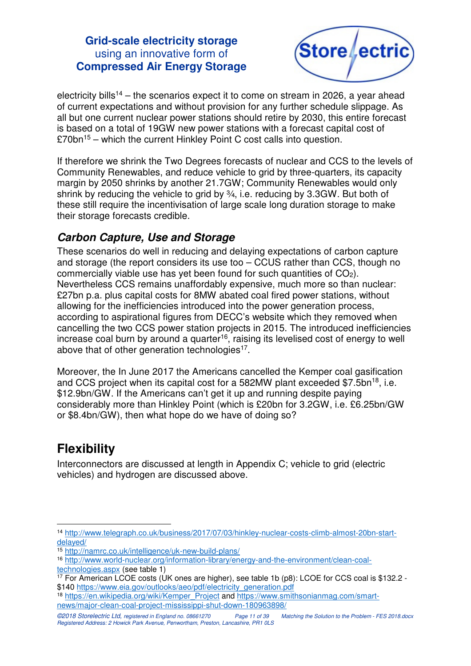![](_page_10_Picture_1.jpeg)

electricity bills<sup>14</sup> – the scenarios expect it to come on stream in 2026, a year ahead of current expectations and without provision for any further schedule slippage. As all but one current nuclear power stations should retire by 2030, this entire forecast is based on a total of 19GW new power stations with a forecast capital cost of £70bn<sup>15</sup> – which the current Hinkley Point C cost calls into question.

If therefore we shrink the Two Degrees forecasts of nuclear and CCS to the levels of Community Renewables, and reduce vehicle to grid by three-quarters, its capacity margin by 2050 shrinks by another 21.7GW; Community Renewables would only shrink by reducing the vehicle to grid by ¾, i.e. reducing by 3.3GW. But both of these still require the incentivisation of large scale long duration storage to make their storage forecasts credible.

#### **Carbon Capture, Use and Storage**

These scenarios do well in reducing and delaying expectations of carbon capture and storage (the report considers its use too – CCUS rather than CCS, though no commercially viable use has yet been found for such quantities of CO2). Nevertheless CCS remains unaffordably expensive, much more so than nuclear: £27bn p.a. plus capital costs for 8MW abated coal fired power stations, without allowing for the inefficiencies introduced into the power generation process, according to aspirational figures from DECC's website which they removed when cancelling the two CCS power station projects in 2015. The introduced inefficiencies increase coal burn by around a quarter<sup>16</sup>, raising its levelised cost of energy to well above that of other generation technologies $17$ .

Moreover, the In June 2017 the Americans cancelled the Kemper coal gasification and CCS project when its capital cost for a 582MW plant exceeded  $$7.5$ bn<sup>18</sup>, i.e. \$12.9bn/GW. If the Americans can't get it up and running despite paying considerably more than Hinkley Point (which is £20bn for 3.2GW, i.e. £6.25bn/GW or \$8.4bn/GW), then what hope do we have of doing so?

# **Flexibility**

Interconnectors are discussed at length in Appendix C; vehicle to grid (electric vehicles) and hydrogen are discussed above.

 $\overline{a}$ <sup>14</sup> http://www.telegraph.co.uk/business/2017/07/03/hinkley-nuclear-costs-climb-almost-20bn-startdelayed/

<sup>15</sup> http://namrc.co.uk/intelligence/uk-new-build-plans/

<sup>16</sup> http://www.world-nuclear.org/information-library/energy-and-the-environment/clean-coal-

technologies.aspx (see table 1)

 $17$  For American LCOE costs (UK ones are higher), see table 1b (p8): LCOE for CCS coal is \$132.2 -\$140 https://www.eia.gov/outlooks/aeo/pdf/electricity\_generation.pdf

<sup>&</sup>lt;sup>18</sup> https://en.wikipedia.org/wiki/Kemper\_Project and https://www.smithsonianmag.com/smartnews/major-clean-coal-project-mississippi-shut-down-180963898/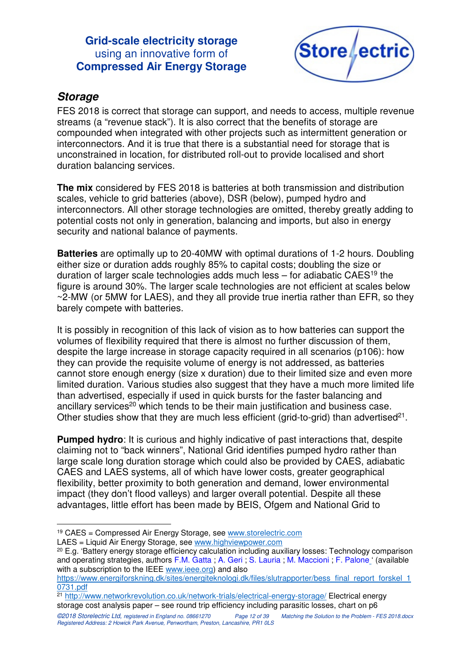![](_page_11_Picture_1.jpeg)

#### **Storage**

FES 2018 is correct that storage can support, and needs to access, multiple revenue streams (a "revenue stack"). It is also correct that the benefits of storage are compounded when integrated with other projects such as intermittent generation or interconnectors. And it is true that there is a substantial need for storage that is unconstrained in location, for distributed roll-out to provide localised and short duration balancing services.

**The mix** considered by FES 2018 is batteries at both transmission and distribution scales, vehicle to grid batteries (above), DSR (below), pumped hydro and interconnectors. All other storage technologies are omitted, thereby greatly adding to potential costs not only in generation, balancing and imports, but also in energy security and national balance of payments.

**Batteries** are optimally up to 20-40MW with optimal durations of 1-2 hours. Doubling either size or duration adds roughly 85% to capital costs; doubling the size or duration of larger scale technologies adds much less – for adiabatic  $CAES^{19}$  the figure is around 30%. The larger scale technologies are not efficient at scales below  $\sim$ 2-MW (or 5MW for LAES), and they all provide true inertia rather than EFR, so they barely compete with batteries.

It is possibly in recognition of this lack of vision as to how batteries can support the volumes of flexibility required that there is almost no further discussion of them, despite the large increase in storage capacity required in all scenarios (p106): how they can provide the requisite volume of energy is not addressed, as batteries cannot store enough energy (size x duration) due to their limited size and even more limited duration. Various studies also suggest that they have a much more limited life than advertised, especially if used in quick bursts for the faster balancing and ancillary services<sup>20</sup> which tends to be their main justification and business case. Other studies show that they are much less efficient (grid-to-grid) than advertised<sup>21</sup>.

**Pumped hydro:** It is curious and highly indicative of past interactions that, despite claiming not to "back winners", National Grid identifies pumped hydro rather than large scale long duration storage which could also be provided by CAES, adiabatic CAES and LAES systems, all of which have lower costs, greater geographical flexibility, better proximity to both generation and demand, lower environmental impact (they don't flood valleys) and larger overall potential. Despite all these advantages, little effort has been made by BEIS, Ofgem and National Grid to

<sup>20</sup> E.g. 'Battery energy storage efficiency calculation including auxiliary losses: Technology comparison and operating strategies, authors F.M. Gatta ; A. Geri ; S. Lauria ; M. Maccioni ; F. Palone ' (available with a subscription to the IEEE www.ieee.org) and also

https://www.energiforskning.dk/sites/energiteknologi.dk/files/slutrapporter/bess\_final\_report\_forskel\_1\_ 0731.pdf

 $\overline{a}$ <sup>19</sup> CAES = Compressed Air Energy Storage, see www.storelectric.com

LAES = Liquid Air Energy Storage, see www.highviewpower.com

<sup>21</sup> http://www.networkrevolution.co.uk/network-trials/electrical-energy-storage/ Electrical energy storage cost analysis paper – see round trip efficiency including parasitic losses, chart on p6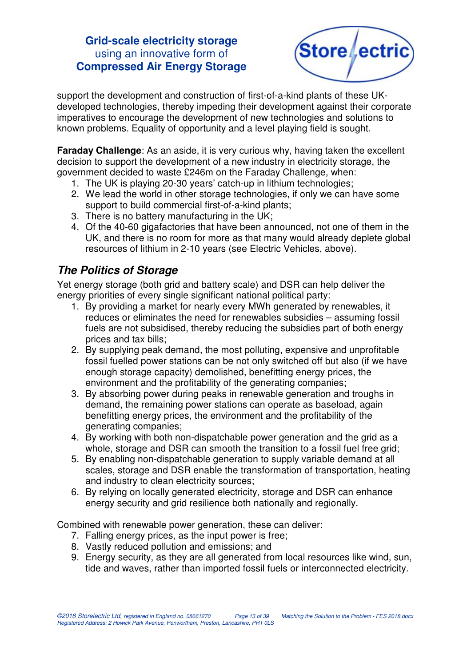![](_page_12_Picture_1.jpeg)

support the development and construction of first-of-a-kind plants of these UKdeveloped technologies, thereby impeding their development against their corporate imperatives to encourage the development of new technologies and solutions to known problems. Equality of opportunity and a level playing field is sought.

**Faraday Challenge:** As an aside, it is very curious why, having taken the excellent decision to support the development of a new industry in electricity storage, the government decided to waste £246m on the Faraday Challenge, when:

- 1. The UK is playing 20-30 years' catch-up in lithium technologies;
- 2. We lead the world in other storage technologies, if only we can have some support to build commercial first-of-a-kind plants;
- 3. There is no battery manufacturing in the UK;
- 4. Of the 40-60 gigafactories that have been announced, not one of them in the UK, and there is no room for more as that many would already deplete global resources of lithium in 2-10 years (see Electric Vehicles, above).

# **The Politics of Storage**

Yet energy storage (both grid and battery scale) and DSR can help deliver the energy priorities of every single significant national political party:

- 1. By providing a market for nearly every MWh generated by renewables, it reduces or eliminates the need for renewables subsidies – assuming fossil fuels are not subsidised, thereby reducing the subsidies part of both energy prices and tax bills;
- 2. By supplying peak demand, the most polluting, expensive and unprofitable fossil fuelled power stations can be not only switched off but also (if we have enough storage capacity) demolished, benefitting energy prices, the environment and the profitability of the generating companies;
- 3. By absorbing power during peaks in renewable generation and troughs in demand, the remaining power stations can operate as baseload, again benefitting energy prices, the environment and the profitability of the generating companies;
- 4. By working with both non-dispatchable power generation and the grid as a whole, storage and DSR can smooth the transition to a fossil fuel free grid;
- 5. By enabling non-dispatchable generation to supply variable demand at all scales, storage and DSR enable the transformation of transportation, heating and industry to clean electricity sources;
- 6. By relying on locally generated electricity, storage and DSR can enhance energy security and grid resilience both nationally and regionally.

Combined with renewable power generation, these can deliver:

- 7. Falling energy prices, as the input power is free;
- 8. Vastly reduced pollution and emissions; and
- 9. Energy security, as they are all generated from local resources like wind, sun, tide and waves, rather than imported fossil fuels or interconnected electricity.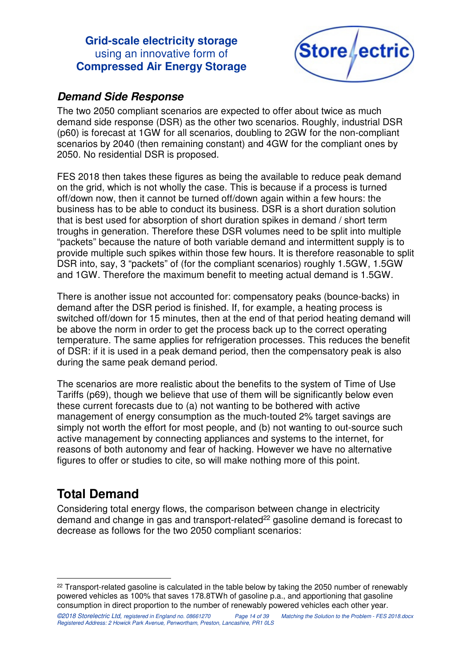![](_page_13_Picture_1.jpeg)

#### **Demand Side Response**

The two 2050 compliant scenarios are expected to offer about twice as much demand side response (DSR) as the other two scenarios. Roughly, industrial DSR (p60) is forecast at 1GW for all scenarios, doubling to 2GW for the non-compliant scenarios by 2040 (then remaining constant) and 4GW for the compliant ones by 2050. No residential DSR is proposed.

FES 2018 then takes these figures as being the available to reduce peak demand on the grid, which is not wholly the case. This is because if a process is turned off/down now, then it cannot be turned off/down again within a few hours: the business has to be able to conduct its business. DSR is a short duration solution that is best used for absorption of short duration spikes in demand / short term troughs in generation. Therefore these DSR volumes need to be split into multiple "packets" because the nature of both variable demand and intermittent supply is to provide multiple such spikes within those few hours. It is therefore reasonable to split DSR into, say, 3 "packets" of (for the compliant scenarios) roughly 1.5GW, 1.5GW and 1GW. Therefore the maximum benefit to meeting actual demand is 1.5GW.

There is another issue not accounted for: compensatory peaks (bounce-backs) in demand after the DSR period is finished. If, for example, a heating process is switched off/down for 15 minutes, then at the end of that period heating demand will be above the norm in order to get the process back up to the correct operating temperature. The same applies for refrigeration processes. This reduces the benefit of DSR: if it is used in a peak demand period, then the compensatory peak is also during the same peak demand period.

The scenarios are more realistic about the benefits to the system of Time of Use Tariffs (p69), though we believe that use of them will be significantly below even these current forecasts due to (a) not wanting to be bothered with active management of energy consumption as the much-touted 2% target savings are simply not worth the effort for most people, and (b) not wanting to out-source such active management by connecting appliances and systems to the internet, for reasons of both autonomy and fear of hacking. However we have no alternative figures to offer or studies to cite, so will make nothing more of this point.

# **Total Demand**

 $\overline{a}$ 

Considering total energy flows, the comparison between change in electricity demand and change in gas and transport-related<sup>22</sup> gasoline demand is forecast to decrease as follows for the two 2050 compliant scenarios:

 $22$  Transport-related gasoline is calculated in the table below by taking the 2050 number of renewably powered vehicles as 100% that saves 178.8TWh of gasoline p.a., and apportioning that gasoline consumption in direct proportion to the number of renewably powered vehicles each other year.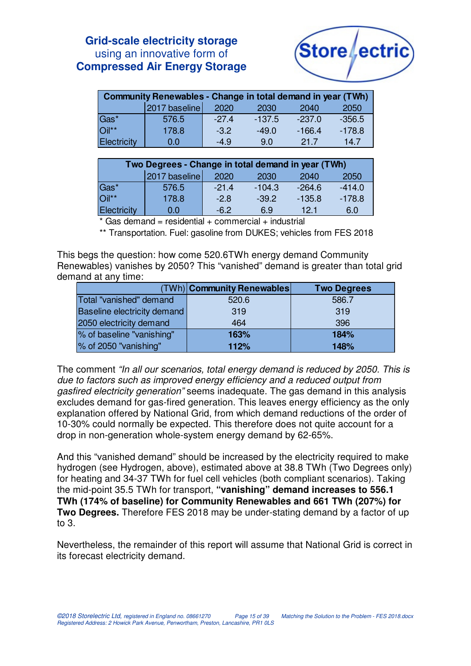![](_page_14_Picture_1.jpeg)

| Community Renewables - Change in total demand in year (TWh) |               |         |          |          |          |
|-------------------------------------------------------------|---------------|---------|----------|----------|----------|
|                                                             | 2017 baseline | 2020    | 2030     | 2040     | 2050     |
| Gas*<br>Oil**                                               | 576.5         | $-27.4$ | $-137.5$ | $-237.0$ | $-356.5$ |
|                                                             | 178.8         | $-3.2$  | $-49.0$  | $-166.4$ | $-178.8$ |
| <b>Electricity</b>                                          | 0.0           | $-4.9$  | 9.0      | 21.7     | 14.7     |

| Two Degrees - Change in total demand in year (TWh) |               |         |          |          |          |
|----------------------------------------------------|---------------|---------|----------|----------|----------|
|                                                    | 2017 baseline | 2020    | 2030     | 2040     | 2050     |
| Gas*                                               | 576.5         | $-21.4$ | $-104.3$ | $-264.6$ | $-414.0$ |
| $O$ il**                                           | 178.8         | $-2.8$  | $-39.2$  | $-135.8$ | $-178.8$ |
| <b>Electricity</b>                                 | 0.0           | $-6.2$  | 6.9      | 12.1     | 6.0      |

 $*$  Gas demand = residential + commercial + industrial

\*\* Transportation. Fuel: gasoline from DUKES; vehicles from FES 2018

This begs the question: how come 520.6TWh energy demand Community Renewables) vanishes by 2050? This "vanished" demand is greater than total grid demand at any time:

|                             | (TWh) Community Renewables | <b>Two Degrees</b> |
|-----------------------------|----------------------------|--------------------|
| Total "vanished" demand     | 520.6                      | 586.7              |
| Baseline electricity demand | 319                        | 319                |
| 2050 electricity demand     | 464                        | 396                |
| % of baseline "vanishing"   | 163%                       | 184%               |
| % of 2050 "vanishing"       | 112%                       | 148%               |

The comment "In all our scenarios, total energy demand is reduced by 2050. This is due to factors such as improved energy efficiency and a reduced output from gasfired electricity generation" seems inadequate. The gas demand in this analysis excludes demand for gas-fired generation. This leaves energy efficiency as the only explanation offered by National Grid, from which demand reductions of the order of 10-30% could normally be expected. This therefore does not quite account for a drop in non-generation whole-system energy demand by 62-65%.

And this "vanished demand" should be increased by the electricity required to make hydrogen (see Hydrogen, above), estimated above at 38.8 TWh (Two Degrees only) for heating and 34-37 TWh for fuel cell vehicles (both compliant scenarios). Taking the mid-point 35.5 TWh for transport, **"vanishing" demand increases to 556.1 TWh (174% of baseline) for Community Renewables and 661 TWh (207%) for Two Degrees.** Therefore FES 2018 may be under-stating demand by a factor of up to 3.

Nevertheless, the remainder of this report will assume that National Grid is correct in its forecast electricity demand.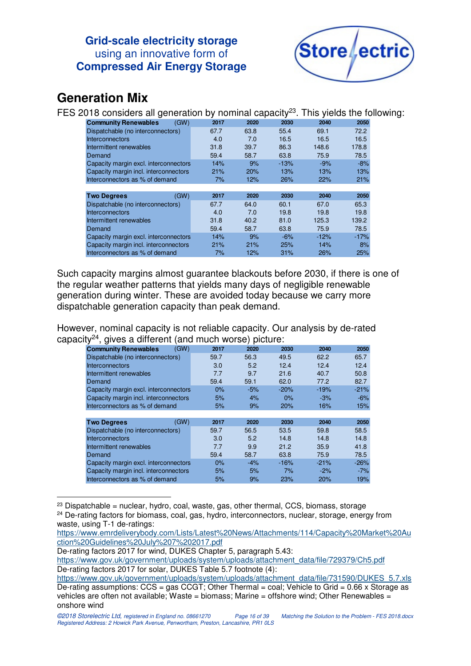![](_page_15_Picture_1.jpeg)

# **Generation Mix**

 $\overline{a}$ 

FES 2018 considers all generation by nominal capacity<sup>23</sup>. This yields the following:

| <b>Community Renewables</b>           | (GW) | 2017 | 2020 | 2030   | 2040   | 2050   |
|---------------------------------------|------|------|------|--------|--------|--------|
| Dispatchable (no interconnectors)     |      | 67.7 | 63.8 | 55.4   | 69.1   | 72.2   |
| <b>Interconnectors</b>                |      | 4.0  | 7.0  | 16.5   | 16.5   | 16.5   |
| Intermittent renewables               |      | 31.8 | 39.7 | 86.3   | 148.6  | 178.8  |
| Demand                                |      | 59.4 | 58.7 | 63.8   | 75.9   | 78.5   |
| Capacity margin excl. interconnectors |      | 14%  | 9%   | $-13%$ | $-9%$  | $-8%$  |
| Capacity margin incl. interconnectors |      | 21%  | 20%  | 13%    | 13%    | 13%    |
| Interconnectors as % of demand        |      | 7%   | 12%  | 26%    | 22%    | 21%    |
|                                       |      |      |      |        |        |        |
| <b>Two Degrees</b>                    | (GW) | 2017 | 2020 | 2030   | 2040   | 2050   |
| Dispatchable (no interconnectors)     |      | 67.7 | 64.0 | 60.1   | 67.0   | 65.3   |
| <b>Interconnectors</b>                |      | 4.0  | 7.0  | 19.8   | 19.8   | 19.8   |
| Intermittent renewables               |      | 31.8 | 40.2 | 81.0   | 125.3  | 139.2  |
| Demand                                |      | 59.4 | 58.7 | 63.8   | 75.9   | 78.5   |
| Capacity margin excl. interconnectors |      | 14%  | 9%   | $-6%$  | $-12%$ | $-17%$ |
| Capacity margin incl. interconnectors |      | 21%  | 21%  | 25%    | 14%    | 8%     |
| Interconnectors as % of demand        |      | 7%   | 12%  | 31%    | 26%    | 25%    |
|                                       |      |      |      |        |        |        |

Such capacity margins almost guarantee blackouts before 2030, if there is one of the regular weather patterns that yields many days of negligible renewable generation during winter. These are avoided today because we carry more dispatchable generation capacity than peak demand.

However, nominal capacity is not reliable capacity. Our analysis by de-rated capacity<sup>24</sup>, gives a different (and much worse) picture:

|                                       |      |      | $\sqrt{ }$ |        |        |        |
|---------------------------------------|------|------|------------|--------|--------|--------|
| <b>Community Renewables</b>           | (GW) | 2017 | 2020       | 2030   | 2040   | 2050   |
| Dispatchable (no interconnectors)     |      | 59.7 | 56.3       | 49.5   | 62.2   | 65.7   |
| <b>Interconnectors</b>                |      | 3.0  | 5.2        | 12.4   | 12.4   | 12.4   |
| Intermittent renewables               |      | 7.7  | 9.7        | 21.6   | 40.7   | 50.8   |
| Demand                                |      | 59.4 | 59.1       | 62.0   | 77.2   | 82.7   |
| Capacity margin excl. interconnectors |      | 0%   | $-5%$      | $-20%$ | $-19%$ | $-21%$ |
| Capacity margin incl. interconnectors |      | 5%   | 4%         | $0\%$  | $-3%$  | $-6%$  |
| Interconnectors as % of demand        |      | 5%   | 9%         | 20%    | 16%    | 15%    |
|                                       |      |      |            |        |        |        |
| <b>Two Degrees</b>                    | (GW) | 2017 | 2020       | 2030   | 2040   | 2050   |
| Dispatchable (no interconnectors)     |      | 59.7 | 56.5       | 53.5   | 59.8   | 58.5   |
| <b>Interconnectors</b>                |      | 3.0  | 5.2        | 14.8   | 14.8   | 14.8   |
| Intermittent renewables               |      | 7.7  | 9.9        | 21.2   | 35.9   | 41.8   |
| Demand                                |      | 59.4 | 58.7       | 63.8   | 75.9   | 78.5   |
| Capacity margin excl. interconnectors |      | 0%   | $-4%$      | $-16%$ | $-21%$ | $-26%$ |
| Capacity margin incl. interconnectors |      | 5%   | 5%         | 7%     | $-2%$  | $-7%$  |
| Interconnectors as % of demand        |      | 5%   | 9%         | 23%    | 20%    | 19%    |
|                                       |      |      |            |        |        |        |

 $23$  Dispatchable = nuclear, hydro, coal, waste, gas, other thermal, CCS, biomass, storage

https://www.emrdeliverybody.com/Lists/Latest%20News/Attachments/114/Capacity%20Market%20Au ction%20Guidelines%20July%207%202017.pdf

De-rating factors 2017 for wind, DUKES Chapter 5, paragraph 5.43:

https://www.gov.uk/government/uploads/system/uploads/attachment\_data/file/729379/Ch5.pdf De-rating factors 2017 for solar, DUKES Table 5.7 footnote (4):

<sup>&</sup>lt;sup>24</sup> De-rating factors for biomass, coal, gas, hydro, interconnectors, nuclear, storage, energy from waste, using T-1 de-ratings:

https://www.gov.uk/government/uploads/system/uploads/attachment\_data/file/731590/DUKES\_5.7.xls De-rating assumptions: CCS = gas CCGT; Other Thermal = coal; Vehicle to Grid = 0.66 x Storage as vehicles are often not available; Waste = biomass; Marine = offshore wind; Other Renewables = onshore wind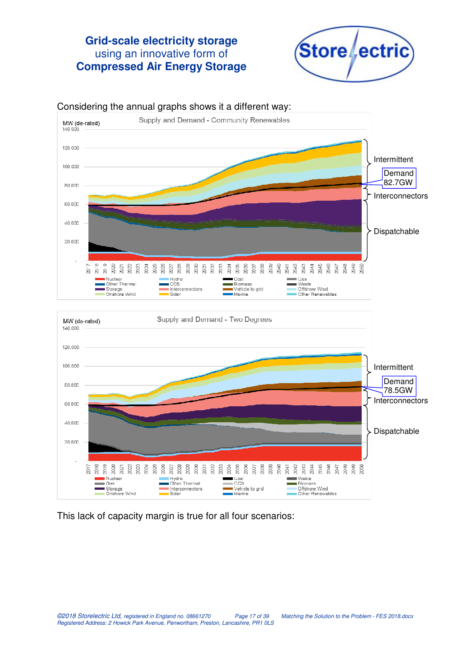![](_page_16_Picture_1.jpeg)

![](_page_16_Figure_2.jpeg)

This lack of capacity margin is true for all four scenarios: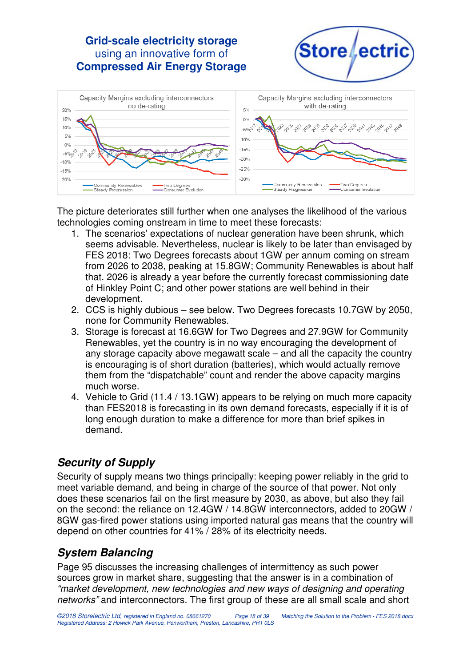![](_page_17_Picture_1.jpeg)

![](_page_17_Figure_2.jpeg)

The picture deteriorates still further when one analyses the likelihood of the various technologies coming onstream in time to meet these forecasts:

- 1. The scenarios' expectations of nuclear generation have been shrunk, which seems advisable. Nevertheless, nuclear is likely to be later than envisaged by FES 2018: Two Degrees forecasts about 1GW per annum coming on stream from 2026 to 2038, peaking at 15.8GW; Community Renewables is about half that. 2026 is already a year before the currently forecast commissioning date of Hinkley Point C; and other power stations are well behind in their development.
- 2. CCS is highly dubious see below. Two Degrees forecasts 10.7GW by 2050, none for Community Renewables.
- 3. Storage is forecast at 16.6GW for Two Degrees and 27.9GW for Community Renewables, yet the country is in no way encouraging the development of any storage capacity above megawatt scale – and all the capacity the country is encouraging is of short duration (batteries), which would actually remove them from the "dispatchable" count and render the above capacity margins much worse.
- 4. Vehicle to Grid (11.4 / 13.1GW) appears to be relying on much more capacity than FES2018 is forecasting in its own demand forecasts, especially if it is of long enough duration to make a difference for more than brief spikes in demand.

# **Security of Supply**

Security of supply means two things principally: keeping power reliably in the grid to meet variable demand, and being in charge of the source of that power. Not only does these scenarios fail on the first measure by 2030, as above, but also they fail on the second: the reliance on 12.4GW / 14.8GW interconnectors, added to 20GW / 8GW gas-fired power stations using imported natural gas means that the country will depend on other countries for 41% / 28% of its electricity needs.

# **System Balancing**

Page 95 discusses the increasing challenges of intermittency as such power sources grow in market share, suggesting that the answer is in a combination of "market development, new technologies and new ways of designing and operating networks" and interconnectors. The first group of these are all small scale and short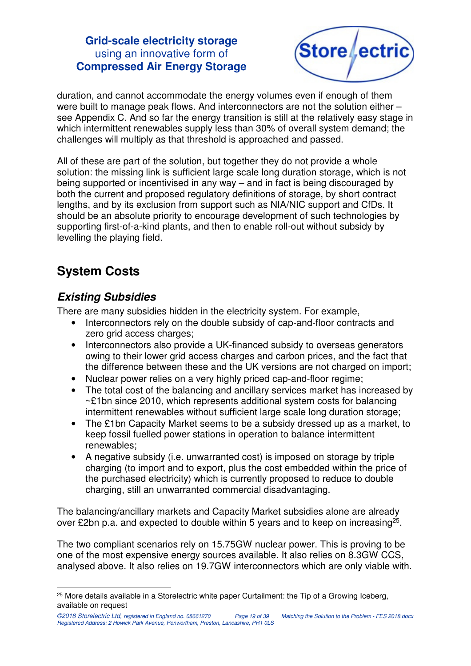![](_page_18_Picture_1.jpeg)

duration, and cannot accommodate the energy volumes even if enough of them were built to manage peak flows. And interconnectors are not the solution either – see Appendix C. And so far the energy transition is still at the relatively easy stage in which intermittent renewables supply less than 30% of overall system demand; the challenges will multiply as that threshold is approached and passed.

All of these are part of the solution, but together they do not provide a whole solution: the missing link is sufficient large scale long duration storage, which is not being supported or incentivised in any way – and in fact is being discouraged by both the current and proposed regulatory definitions of storage, by short contract lengths, and by its exclusion from support such as NIA/NIC support and CfDs. It should be an absolute priority to encourage development of such technologies by supporting first-of-a-kind plants, and then to enable roll-out without subsidy by levelling the playing field.

# **System Costs**

# **Existing Subsidies**

There are many subsidies hidden in the electricity system. For example,

- Interconnectors rely on the double subsidy of cap-and-floor contracts and zero grid access charges;
- Interconnectors also provide a UK-financed subsidy to overseas generators owing to their lower grid access charges and carbon prices, and the fact that the difference between these and the UK versions are not charged on import;
- Nuclear power relies on a very highly priced cap-and-floor regime;
- The total cost of the balancing and ancillary services market has increased by ~£1bn since 2010, which represents additional system costs for balancing intermittent renewables without sufficient large scale long duration storage;
- The £1bn Capacity Market seems to be a subsidy dressed up as a market, to keep fossil fuelled power stations in operation to balance intermittent renewables;
- A negative subsidy (i.e. unwarranted cost) is imposed on storage by triple charging (to import and to export, plus the cost embedded within the price of the purchased electricity) which is currently proposed to reduce to double charging, still an unwarranted commercial disadvantaging.

The balancing/ancillary markets and Capacity Market subsidies alone are already over £2bn p.a. and expected to double within 5 years and to keep on increasing<sup>25</sup>.

The two compliant scenarios rely on 15.75GW nuclear power. This is proving to be one of the most expensive energy sources available. It also relies on 8.3GW CCS, analysed above. It also relies on 19.7GW interconnectors which are only viable with.

 $\overline{a}$ <sup>25</sup> More details available in a Storelectric white paper Curtailment: the Tip of a Growing Iceberg, available on request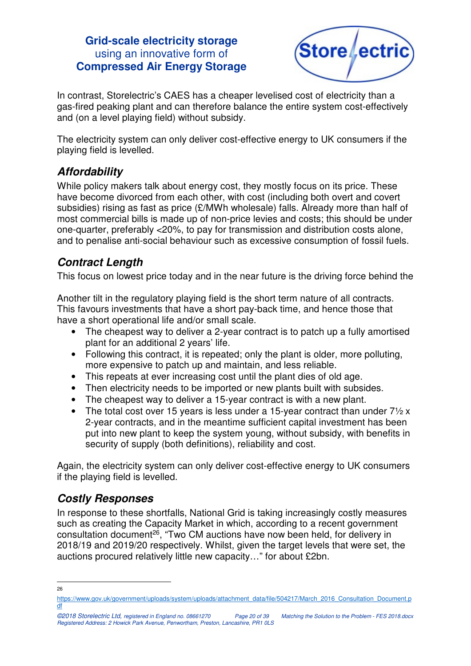![](_page_19_Picture_1.jpeg)

In contrast, Storelectric's CAES has a cheaper levelised cost of electricity than a gas-fired peaking plant and can therefore balance the entire system cost-effectively and (on a level playing field) without subsidy.

The electricity system can only deliver cost-effective energy to UK consumers if the playing field is levelled.

# **Affordability**

While policy makers talk about energy cost, they mostly focus on its price. These have become divorced from each other, with cost (including both overt and covert subsidies) rising as fast as price (£/MWh wholesale) falls. Already more than half of most commercial bills is made up of non-price levies and costs; this should be under one-quarter, preferably <20%, to pay for transmission and distribution costs alone, and to penalise anti-social behaviour such as excessive consumption of fossil fuels.

# **Contract Length**

This focus on lowest price today and in the near future is the driving force behind the

Another tilt in the regulatory playing field is the short term nature of all contracts. This favours investments that have a short pay-back time, and hence those that have a short operational life and/or small scale.

- The cheapest way to deliver a 2-year contract is to patch up a fully amortised plant for an additional 2 years' life.
- Following this contract, it is repeated; only the plant is older, more polluting, more expensive to patch up and maintain, and less reliable.
- This repeats at ever increasing cost until the plant dies of old age.
- Then electricity needs to be imported or new plants built with subsides.
- The cheapest way to deliver a 15-year contract is with a new plant.
- The total cost over 15 years is less under a 15-year contract than under  $7\frac{1}{2}x$ 2-year contracts, and in the meantime sufficient capital investment has been put into new plant to keep the system young, without subsidy, with benefits in security of supply (both definitions), reliability and cost.

Again, the electricity system can only deliver cost-effective energy to UK consumers if the playing field is levelled.

# **Costly Responses**

In response to these shortfalls, National Grid is taking increasingly costly measures such as creating the Capacity Market in which, according to a recent government consultation document<sup>26</sup>, "Two CM auctions have now been held, for delivery in 2018/19 and 2019/20 respectively. Whilst, given the target levels that were set, the auctions procured relatively little new capacity…" for about £2bn.

 $\overline{a}$ 26

https://www.gov.uk/government/uploads/system/uploads/attachment\_data/file/504217/March\_2016\_Consultation\_Document.p df

<sup>©2018</sup> Storelectric Ltd, registered in England no. 08661270 Page 20 of 39 Matching the Solution to the Problem - FES 2018.docx Registered Address: 2 Howick Park Avenue, Penwortham, Preston, Lancashire, PR1 0LS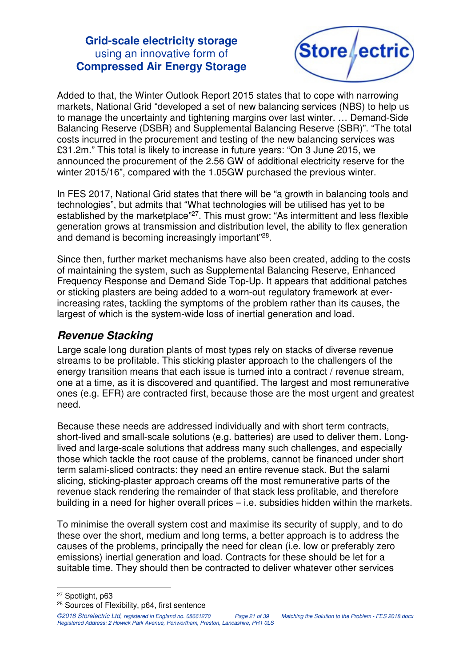![](_page_20_Picture_1.jpeg)

Added to that, the Winter Outlook Report 2015 states that to cope with narrowing markets, National Grid "developed a set of new balancing services (NBS) to help us to manage the uncertainty and tightening margins over last winter. … Demand-Side Balancing Reserve (DSBR) and Supplemental Balancing Reserve (SBR)". "The total costs incurred in the procurement and testing of the new balancing services was £31.2m." This total is likely to increase in future years: "On 3 June 2015, we announced the procurement of the 2.56 GW of additional electricity reserve for the winter 2015/16", compared with the 1.05GW purchased the previous winter.

In FES 2017, National Grid states that there will be "a growth in balancing tools and technologies", but admits that "What technologies will be utilised has yet to be established by the marketplace<sup>"27</sup>. This must grow: "As intermittent and less flexible generation grows at transmission and distribution level, the ability to flex generation and demand is becoming increasingly important"<sup>28</sup>.

Since then, further market mechanisms have also been created, adding to the costs of maintaining the system, such as Supplemental Balancing Reserve, Enhanced Frequency Response and Demand Side Top-Up. It appears that additional patches or sticking plasters are being added to a worn-out regulatory framework at everincreasing rates, tackling the symptoms of the problem rather than its causes, the largest of which is the system-wide loss of inertial generation and load.

#### **Revenue Stacking**

Large scale long duration plants of most types rely on stacks of diverse revenue streams to be profitable. This sticking plaster approach to the challengers of the energy transition means that each issue is turned into a contract / revenue stream, one at a time, as it is discovered and quantified. The largest and most remunerative ones (e.g. EFR) are contracted first, because those are the most urgent and greatest need.

Because these needs are addressed individually and with short term contracts, short-lived and small-scale solutions (e.g. batteries) are used to deliver them. Longlived and large-scale solutions that address many such challenges, and especially those which tackle the root cause of the problems, cannot be financed under short term salami-sliced contracts: they need an entire revenue stack. But the salami slicing, sticking-plaster approach creams off the most remunerative parts of the revenue stack rendering the remainder of that stack less profitable, and therefore building in a need for higher overall prices – i.e. subsidies hidden within the markets.

To minimise the overall system cost and maximise its security of supply, and to do these over the short, medium and long terms, a better approach is to address the causes of the problems, principally the need for clean (i.e. low or preferably zero emissions) inertial generation and load. Contracts for these should be let for a suitable time. They should then be contracted to deliver whatever other services

 $\overline{a}$ 

<sup>27</sup> Spotlight, p63

<sup>28</sup> Sources of Flexibility, p64, first sentence

<sup>©2018</sup> Storelectric Ltd, registered in England no. 08661270 Page 21 of 39 Matching the Solution to the Problem - FES 2018.docx Registered Address: 2 Howick Park Avenue, Penwortham, Preston, Lancashire, PR1 0LS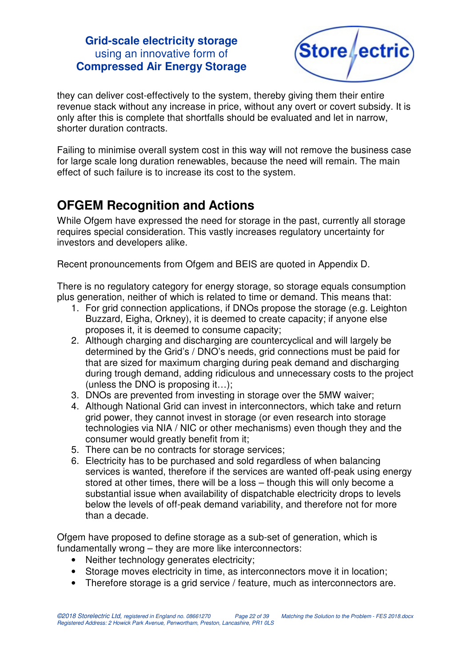![](_page_21_Picture_1.jpeg)

they can deliver cost-effectively to the system, thereby giving them their entire revenue stack without any increase in price, without any overt or covert subsidy. It is only after this is complete that shortfalls should be evaluated and let in narrow, shorter duration contracts.

Failing to minimise overall system cost in this way will not remove the business case for large scale long duration renewables, because the need will remain. The main effect of such failure is to increase its cost to the system.

# **OFGEM Recognition and Actions**

While Ofgem have expressed the need for storage in the past, currently all storage requires special consideration. This vastly increases regulatory uncertainty for investors and developers alike.

Recent pronouncements from Ofgem and BEIS are quoted in Appendix D.

There is no regulatory category for energy storage, so storage equals consumption plus generation, neither of which is related to time or demand. This means that:

- 1. For grid connection applications, if DNOs propose the storage (e.g. Leighton Buzzard, Eigha, Orkney), it is deemed to create capacity; if anyone else proposes it, it is deemed to consume capacity;
- 2. Although charging and discharging are countercyclical and will largely be determined by the Grid's / DNO's needs, grid connections must be paid for that are sized for maximum charging during peak demand and discharging during trough demand, adding ridiculous and unnecessary costs to the project (unless the DNO is proposing it…);
- 3. DNOs are prevented from investing in storage over the 5MW waiver;
- 4. Although National Grid can invest in interconnectors, which take and return grid power, they cannot invest in storage (or even research into storage technologies via NIA / NIC or other mechanisms) even though they and the consumer would greatly benefit from it;
- 5. There can be no contracts for storage services;
- 6. Electricity has to be purchased and sold regardless of when balancing services is wanted, therefore if the services are wanted off-peak using energy stored at other times, there will be a loss – though this will only become a substantial issue when availability of dispatchable electricity drops to levels below the levels of off-peak demand variability, and therefore not for more than a decade.

Ofgem have proposed to define storage as a sub-set of generation, which is fundamentally wrong – they are more like interconnectors:

- Neither technology generates electricity;
- Storage moves electricity in time, as interconnectors move it in location;
- Therefore storage is a grid service / feature, much as interconnectors are.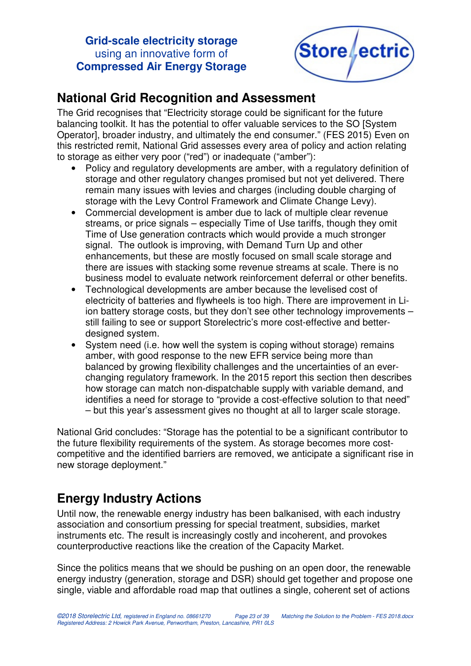![](_page_22_Picture_1.jpeg)

# **National Grid Recognition and Assessment**

The Grid recognises that "Electricity storage could be significant for the future balancing toolkit. It has the potential to offer valuable services to the SO [System Operator], broader industry, and ultimately the end consumer." (FES 2015) Even on this restricted remit, National Grid assesses every area of policy and action relating to storage as either very poor ("red") or inadequate ("amber"):

- Policy and regulatory developments are amber, with a regulatory definition of storage and other regulatory changes promised but not yet delivered. There remain many issues with levies and charges (including double charging of storage with the Levy Control Framework and Climate Change Levy).
- Commercial development is amber due to lack of multiple clear revenue streams, or price signals – especially Time of Use tariffs, though they omit Time of Use generation contracts which would provide a much stronger signal. The outlook is improving, with Demand Turn Up and other enhancements, but these are mostly focused on small scale storage and there are issues with stacking some revenue streams at scale. There is no business model to evaluate network reinforcement deferral or other benefits.
- Technological developments are amber because the levelised cost of electricity of batteries and flywheels is too high. There are improvement in Liion battery storage costs, but they don't see other technology improvements – still failing to see or support Storelectric's more cost-effective and betterdesigned system.
- System need (i.e. how well the system is coping without storage) remains amber, with good response to the new EFR service being more than balanced by growing flexibility challenges and the uncertainties of an everchanging regulatory framework. In the 2015 report this section then describes how storage can match non-dispatchable supply with variable demand, and identifies a need for storage to "provide a cost-effective solution to that need" – but this year's assessment gives no thought at all to larger scale storage.

National Grid concludes: "Storage has the potential to be a significant contributor to the future flexibility requirements of the system. As storage becomes more costcompetitive and the identified barriers are removed, we anticipate a significant rise in new storage deployment."

# **Energy Industry Actions**

Until now, the renewable energy industry has been balkanised, with each industry association and consortium pressing for special treatment, subsidies, market instruments etc. The result is increasingly costly and incoherent, and provokes counterproductive reactions like the creation of the Capacity Market.

Since the politics means that we should be pushing on an open door, the renewable energy industry (generation, storage and DSR) should get together and propose one single, viable and affordable road map that outlines a single, coherent set of actions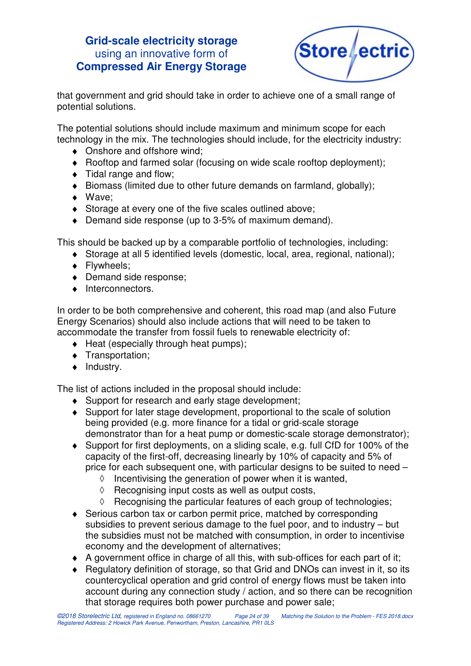![](_page_23_Picture_1.jpeg)

that government and grid should take in order to achieve one of a small range of potential solutions.

The potential solutions should include maximum and minimum scope for each technology in the mix. The technologies should include, for the electricity industry:

- ♦ Onshore and offshore wind;
- ♦ Rooftop and farmed solar (focusing on wide scale rooftop deployment);
- $\triangleleft$  Tidal range and flow;
- ♦ Biomass (limited due to other future demands on farmland, globally);
- ♦ Wave;
- ♦ Storage at every one of the five scales outlined above;
- ♦ Demand side response (up to 3-5% of maximum demand).

This should be backed up by a comparable portfolio of technologies, including:

- ♦ Storage at all 5 identified levels (domestic, local, area, regional, national);
- ♦ Flywheels;
- ♦ Demand side response;
- Interconnectors.

In order to be both comprehensive and coherent, this road map (and also Future Energy Scenarios) should also include actions that will need to be taken to accommodate the transfer from fossil fuels to renewable electricity of:

- ♦ Heat (especially through heat pumps);
- ♦ Transportation;
- ♦ Industry.

The list of actions included in the proposal should include:

- ♦ Support for research and early stage development;
- ♦ Support for later stage development, proportional to the scale of solution being provided (e.g. more finance for a tidal or grid-scale storage demonstrator than for a heat pump or domestic-scale storage demonstrator);
- ♦ Support for first deployments, on a sliding scale, e.g. full CfD for 100% of the capacity of the first-off, decreasing linearly by 10% of capacity and 5% of price for each subsequent one, with particular designs to be suited to need –
	- $\Diamond$  Incentivising the generation of power when it is wanted,
	- ◊ Recognising input costs as well as output costs,
	- ◊ Recognising the particular features of each group of technologies;
- ♦ Serious carbon tax or carbon permit price, matched by corresponding subsidies to prevent serious damage to the fuel poor, and to industry – but the subsidies must not be matched with consumption, in order to incentivise economy and the development of alternatives;
- ♦ A government office in charge of all this, with sub-offices for each part of it;
- Regulatory definition of storage, so that Grid and DNOs can invest in it, so its countercyclical operation and grid control of energy flows must be taken into account during any connection study / action, and so there can be recognition that storage requires both power purchase and power sale;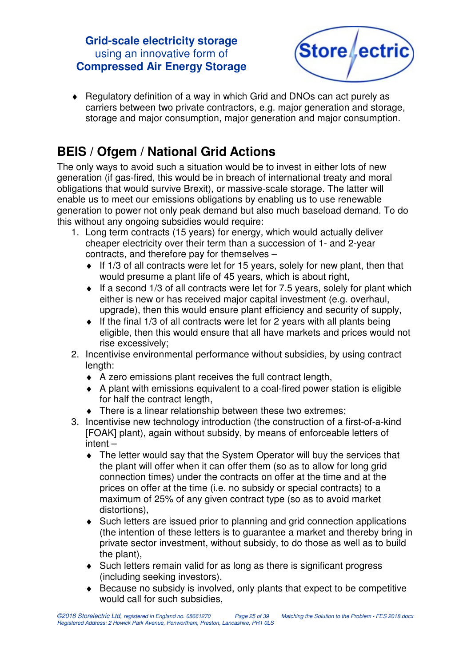![](_page_24_Picture_1.jpeg)

♦ Regulatory definition of a way in which Grid and DNOs can act purely as carriers between two private contractors, e.g. major generation and storage, storage and major consumption, major generation and major consumption.

# **BEIS / Ofgem / National Grid Actions**

The only ways to avoid such a situation would be to invest in either lots of new generation (if gas-fired, this would be in breach of international treaty and moral obligations that would survive Brexit), or massive-scale storage. The latter will enable us to meet our emissions obligations by enabling us to use renewable generation to power not only peak demand but also much baseload demand. To do this without any ongoing subsidies would require:

- 1. Long term contracts (15 years) for energy, which would actually deliver cheaper electricity over their term than a succession of 1- and 2-year contracts, and therefore pay for themselves –
	- ♦ If 1/3 of all contracts were let for 15 years, solely for new plant, then that would presume a plant life of 45 years, which is about right,
	- ♦ If a second 1/3 of all contracts were let for 7.5 years, solely for plant which either is new or has received major capital investment (e.g. overhaul, upgrade), then this would ensure plant efficiency and security of supply,
	- $\bullet$  If the final 1/3 of all contracts were let for 2 years with all plants being eligible, then this would ensure that all have markets and prices would not rise excessively;
- 2. Incentivise environmental performance without subsidies, by using contract length:
	- ♦ A zero emissions plant receives the full contract length,
	- ♦ A plant with emissions equivalent to a coal-fired power station is eligible for half the contract length,
	- ♦ There is a linear relationship between these two extremes;
- 3. Incentivise new technology introduction (the construction of a first-of-a-kind [FOAK] plant), again without subsidy, by means of enforceable letters of intent –
	- ♦ The letter would say that the System Operator will buy the services that the plant will offer when it can offer them (so as to allow for long grid connection times) under the contracts on offer at the time and at the prices on offer at the time (i.e. no subsidy or special contracts) to a maximum of 25% of any given contract type (so as to avoid market distortions),
	- ♦ Such letters are issued prior to planning and grid connection applications (the intention of these letters is to guarantee a market and thereby bring in private sector investment, without subsidy, to do those as well as to build the plant),
	- ♦ Such letters remain valid for as long as there is significant progress (including seeking investors),
	- ♦ Because no subsidy is involved, only plants that expect to be competitive would call for such subsidies,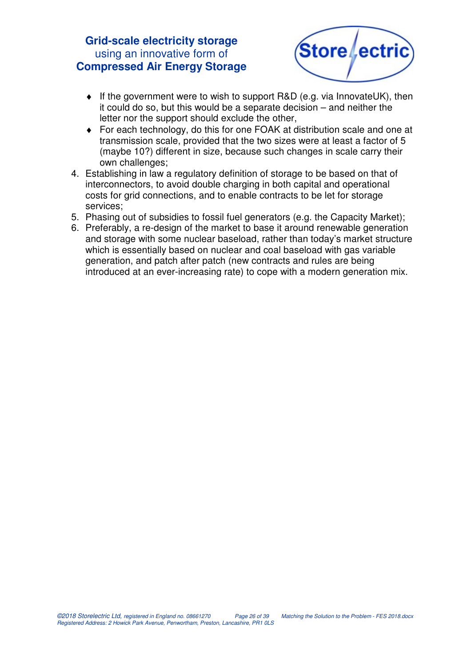![](_page_25_Picture_1.jpeg)

- ♦ If the government were to wish to support R&D (e.g. via InnovateUK), then it could do so, but this would be a separate decision – and neither the letter nor the support should exclude the other,
- ♦ For each technology, do this for one FOAK at distribution scale and one at transmission scale, provided that the two sizes were at least a factor of 5 (maybe 10?) different in size, because such changes in scale carry their own challenges;
- 4. Establishing in law a regulatory definition of storage to be based on that of interconnectors, to avoid double charging in both capital and operational costs for grid connections, and to enable contracts to be let for storage services;
- 5. Phasing out of subsidies to fossil fuel generators (e.g. the Capacity Market);
- 6. Preferably, a re-design of the market to base it around renewable generation and storage with some nuclear baseload, rather than today's market structure which is essentially based on nuclear and coal baseload with gas variable generation, and patch after patch (new contracts and rules are being introduced at an ever-increasing rate) to cope with a modern generation mix.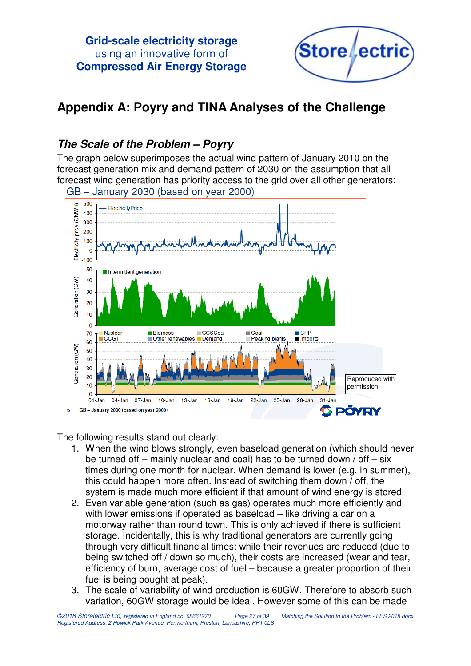![](_page_26_Picture_1.jpeg)

# **Appendix A: Poyry and TINA Analyses of the Challenge**

# **The Scale of the Problem – Poyry**

The graph below superimposes the actual wind pattern of January 2010 on the forecast generation mix and demand pattern of 2030 on the assumption that all forecast wind generation has priority access to the grid over all other generators:

![](_page_26_Figure_5.jpeg)

The following results stand out clearly:

- 1. When the wind blows strongly, even baseload generation (which should never be turned off – mainly nuclear and coal) has to be turned down  $/$  off – six times during one month for nuclear. When demand is lower (e.g. in summer), this could happen more often. Instead of switching them down / off, the system is made much more efficient if that amount of wind energy is stored.
- 2. Even variable generation (such as gas) operates much more efficiently and with lower emissions if operated as baseload – like driving a car on a motorway rather than round town. This is only achieved if there is sufficient storage. Incidentally, this is why traditional generators are currently going through very difficult financial times: while their revenues are reduced (due to being switched off / down so much), their costs are increased (wear and tear, efficiency of burn, average cost of fuel – because a greater proportion of their fuel is being bought at peak).
- 3. The scale of variability of wind production is 60GW. Therefore to absorb such variation, 60GW storage would be ideal. However some of this can be made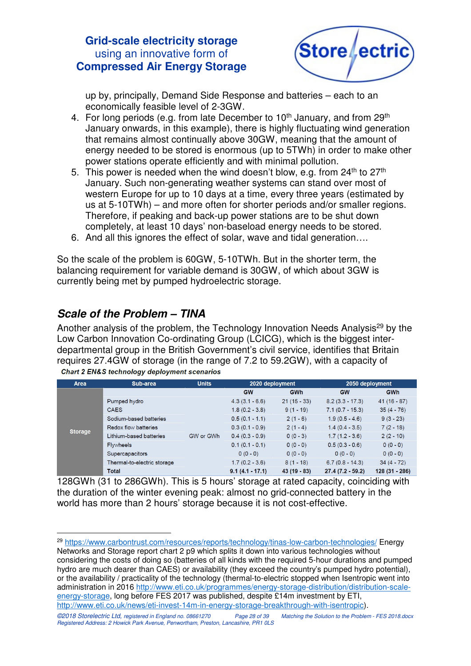![](_page_27_Picture_1.jpeg)

up by, principally, Demand Side Response and batteries – each to an economically feasible level of 2-3GW.

- 4. For long periods (e.g. from late December to 10<sup>th</sup> January, and from 29<sup>th</sup> January onwards, in this example), there is highly fluctuating wind generation that remains almost continually above 30GW, meaning that the amount of energy needed to be stored is enormous (up to 5TWh) in order to make other power stations operate efficiently and with minimal pollution.
- 5. This power is needed when the wind doesn't blow, e.g. from  $24<sup>th</sup>$  to  $27<sup>th</sup>$ January. Such non-generating weather systems can stand over most of western Europe for up to 10 days at a time, every three years (estimated by us at 5-10TWh) – and more often for shorter periods and/or smaller regions. Therefore, if peaking and back-up power stations are to be shut down completely, at least 10 days' non-baseload energy needs to be stored.
- 6. And all this ignores the effect of solar, wave and tidal generation….

So the scale of the problem is 60GW, 5-10TWh. But in the shorter term, the balancing requirement for variable demand is 30GW, of which about 3GW is currently being met by pumped hydroelectric storage.

# **Scale of the Problem – TINA**

 $\overline{a}$ 

Another analysis of the problem, the Technology Innovation Needs Analysis<sup>29</sup> by the Low Carbon Innovation Co-ordinating Group (LCICG), which is the biggest interdepartmental group in the British Government's civil service, identifies that Britain requires 27.4GW of storage (in the range of 7.2 to 59.2GW), with a capacity of Chart 2 EN&S technology deployment scenarios

| Area | Sub-area                                  | <b>Units</b> | 2020 deployment   |               | 2050 deployment    |                 |
|------|-------------------------------------------|--------------|-------------------|---------------|--------------------|-----------------|
|      |                                           |              | <b>GW</b>         | GWh           | <b>GW</b>          | <b>GWh</b>      |
|      | Pumped hydro                              |              | $4.3(3.1 - 6.6)$  | $21(15 - 33)$ | $8.2(3.3 - 17.3)$  | $41(16 - 87)$   |
|      | <b>CAES</b>                               |              | $1.8(0.2 - 3.8)$  | $9(1 - 19)$   | $7.1(0.7 - 15.3)$  | $35(4 - 76)$    |
|      | Sodium-based batteries                    | GW or GWh    | $0.5(0.1 - 1.1)$  | $2(1-6)$      | $1.9(0.5 - 4.6)$   | $9(3 - 23)$     |
|      | Redox flow batteries                      |              | $0.3(0.1 - 0.9)$  | $2(1 - 4)$    | $1.4(0.4 - 3.5)$   | $7(2 - 18)$     |
|      | <b>Storage</b><br>Lithium-based batteries |              | $0.4(0.3 - 0.9)$  | $0(0-3)$      | $1.7(1.2 - 3.6)$   | $2(2 - 10)$     |
|      | <b>Flywheels</b>                          |              | $0.1(0.1 - 0.1)$  | $0(0 - 0)$    | $0.5(0.3 - 0.6)$   | $0(0 - 0)$      |
|      | Supercapacitors                           |              | $0(0 - 0)$        | $0(0 - 0)$    | $0(0 - 0)$         | $0(0 - 0)$      |
|      | Thermal-to-electric storage               |              | $1.7(0.2 - 3.6)$  | $8(1 - 18)$   | $6.7(0.8 - 14.3)$  | $34(4 - 72)$    |
|      | <b>Total</b>                              |              | $9.1(4.1 - 17.1)$ | $43(19 - 83)$ | $27.4(7.2 - 59.2)$ | $128(31 - 286)$ |

128GWh (31 to 286GWh). This is 5 hours' storage at rated capacity, coinciding with the duration of the winter evening peak: almost no grid-connected battery in the world has more than 2 hours' storage because it is not cost-effective.

<sup>29</sup> https://www.carbontrust.com/resources/reports/technology/tinas-low-carbon-technologies/ Energy Networks and Storage report chart 2 p9 which splits it down into various technologies without considering the costs of doing so (batteries of all kinds with the required 5-hour durations and pumped hydro are much dearer than CAES) or availability (they exceed the country's pumped hydro potential), or the availability / practicality of the technology (thermal-to-electric stopped when Isentropic went into administration in 2016 http://www.eti.co.uk/programmes/energy-storage-distribution/distribution-scaleenergy-storage, long before FES 2017 was published, despite £14m investment by ETI, http://www.eti.co.uk/news/eti-invest-14m-in-energy-storage-breakthrough-with-isentropic).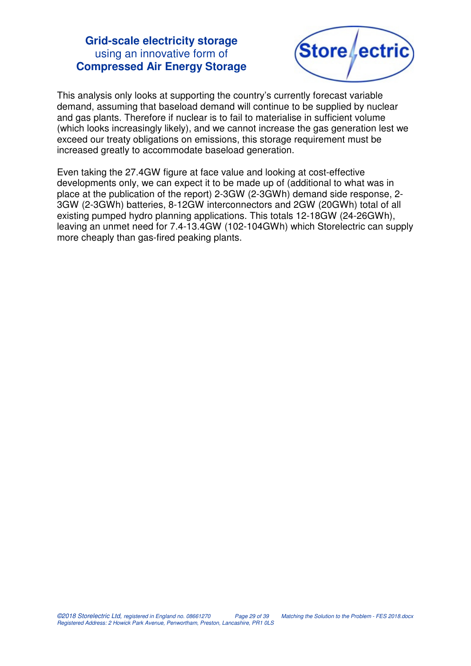![](_page_28_Picture_1.jpeg)

This analysis only looks at supporting the country's currently forecast variable demand, assuming that baseload demand will continue to be supplied by nuclear and gas plants. Therefore if nuclear is to fail to materialise in sufficient volume (which looks increasingly likely), and we cannot increase the gas generation lest we exceed our treaty obligations on emissions, this storage requirement must be increased greatly to accommodate baseload generation.

Even taking the 27.4GW figure at face value and looking at cost-effective developments only, we can expect it to be made up of (additional to what was in place at the publication of the report) 2-3GW (2-3GWh) demand side response, 2- 3GW (2-3GWh) batteries, 8-12GW interconnectors and 2GW (20GWh) total of all existing pumped hydro planning applications. This totals 12-18GW (24-26GWh), leaving an unmet need for 7.4-13.4GW (102-104GWh) which Storelectric can supply more cheaply than gas-fired peaking plants.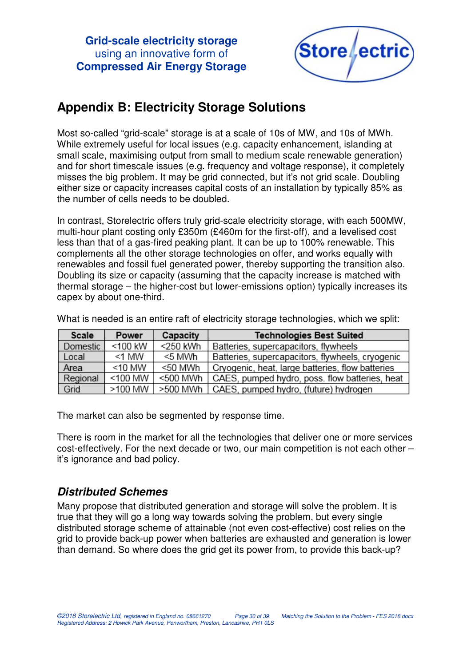![](_page_29_Picture_1.jpeg)

# **Appendix B: Electricity Storage Solutions**

Most so-called "grid-scale" storage is at a scale of 10s of MW, and 10s of MWh. While extremely useful for local issues (e.g. capacity enhancement, islanding at small scale, maximising output from small to medium scale renewable generation) and for short timescale issues (e.g. frequency and voltage response), it completely misses the big problem. It may be grid connected, but it's not grid scale. Doubling either size or capacity increases capital costs of an installation by typically 85% as the number of cells needs to be doubled.

In contrast, Storelectric offers truly grid-scale electricity storage, with each 500MW, multi-hour plant costing only £350m (£460m for the first-off), and a levelised cost less than that of a gas-fired peaking plant. It can be up to 100% renewable. This complements all the other storage technologies on offer, and works equally with renewables and fossil fuel generated power, thereby supporting the transition also. Doubling its size or capacity (assuming that the capacity increase is matched with thermal storage – the higher-cost but lower-emissions option) typically increases its capex by about one-third.

| <b>Scale</b> | <b>Power</b>   | Capacity    | <b>Technologies Best Suited</b>                  |
|--------------|----------------|-------------|--------------------------------------------------|
| Domestic     | <100 kW        | $<$ 250 kWh | Batteries, supercapacitors, flywheels            |
| Local        | $<$ 1 MW       | <5 MWh      | Batteries, supercapacitors, flywheels, cryogenic |
| Area         | $<$ 10 MW      | <50 MWh     | Cryogenic, heat, large batteries, flow batteries |
| Regional     | $<$ 100 MW $<$ | <500 MWh    | CAES, pumped hydro, poss. flow batteries, heat   |
| Grid         | >100 MW        | >500 MWh    | CAES, pumped hydro, (future) hydrogen            |

What is needed is an entire raft of electricity storage technologies, which we split:

The market can also be segmented by response time.

There is room in the market for all the technologies that deliver one or more services cost-effectively. For the next decade or two, our main competition is not each other – it's ignorance and bad policy.

#### **Distributed Schemes**

Many propose that distributed generation and storage will solve the problem. It is true that they will go a long way towards solving the problem, but every single distributed storage scheme of attainable (not even cost-effective) cost relies on the grid to provide back-up power when batteries are exhausted and generation is lower than demand. So where does the grid get its power from, to provide this back-up?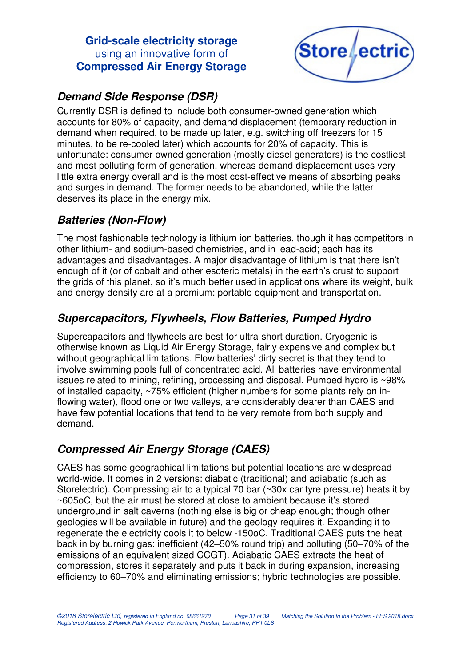![](_page_30_Picture_1.jpeg)

# **Demand Side Response (DSR)**

Currently DSR is defined to include both consumer-owned generation which accounts for 80% of capacity, and demand displacement (temporary reduction in demand when required, to be made up later, e.g. switching off freezers for 15 minutes, to be re-cooled later) which accounts for 20% of capacity. This is unfortunate: consumer owned generation (mostly diesel generators) is the costliest and most polluting form of generation, whereas demand displacement uses very little extra energy overall and is the most cost-effective means of absorbing peaks and surges in demand. The former needs to be abandoned, while the latter deserves its place in the energy mix.

# **Batteries (Non-Flow)**

The most fashionable technology is lithium ion batteries, though it has competitors in other lithium- and sodium-based chemistries, and in lead-acid; each has its advantages and disadvantages. A major disadvantage of lithium is that there isn't enough of it (or of cobalt and other esoteric metals) in the earth's crust to support the grids of this planet, so it's much better used in applications where its weight, bulk and energy density are at a premium: portable equipment and transportation.

# **Supercapacitors, Flywheels, Flow Batteries, Pumped Hydro**

Supercapacitors and flywheels are best for ultra-short duration. Cryogenic is otherwise known as Liquid Air Energy Storage, fairly expensive and complex but without geographical limitations. Flow batteries' dirty secret is that they tend to involve swimming pools full of concentrated acid. All batteries have environmental issues related to mining, refining, processing and disposal. Pumped hydro is ~98% of installed capacity, ~75% efficient (higher numbers for some plants rely on inflowing water), flood one or two valleys, are considerably dearer than CAES and have few potential locations that tend to be very remote from both supply and demand.

# **Compressed Air Energy Storage (CAES)**

CAES has some geographical limitations but potential locations are widespread world-wide. It comes in 2 versions: diabatic (traditional) and adiabatic (such as Storelectric). Compressing air to a typical 70 bar (~30x car tyre pressure) heats it by ~605oC, but the air must be stored at close to ambient because it's stored underground in salt caverns (nothing else is big or cheap enough; though other geologies will be available in future) and the geology requires it. Expanding it to regenerate the electricity cools it to below -150oC. Traditional CAES puts the heat back in by burning gas: inefficient (42–50% round trip) and polluting (50–70% of the emissions of an equivalent sized CCGT). Adiabatic CAES extracts the heat of compression, stores it separately and puts it back in during expansion, increasing efficiency to 60–70% and eliminating emissions; hybrid technologies are possible.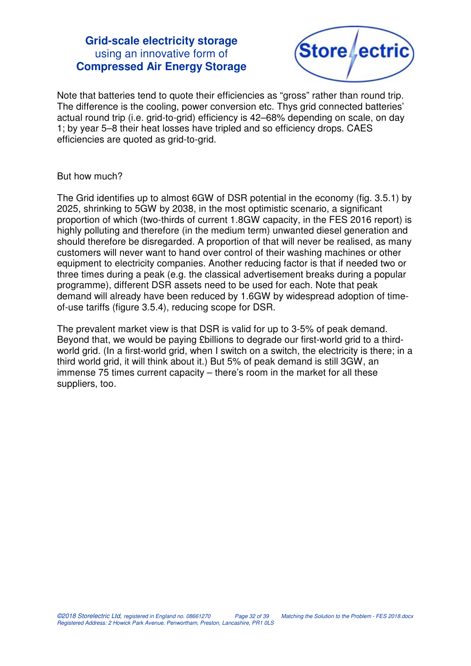![](_page_31_Picture_1.jpeg)

Note that batteries tend to quote their efficiencies as "gross" rather than round trip. The difference is the cooling, power conversion etc. Thys grid connected batteries' actual round trip (i.e. grid-to-grid) efficiency is 42–68% depending on scale, on day 1; by year 5–8 their heat losses have tripled and so efficiency drops. CAES efficiencies are quoted as grid-to-grid.

#### But how much?

The Grid identifies up to almost 6GW of DSR potential in the economy (fig. 3.5.1) by 2025, shrinking to 5GW by 2038, in the most optimistic scenario, a significant proportion of which (two-thirds of current 1.8GW capacity, in the FES 2016 report) is highly polluting and therefore (in the medium term) unwanted diesel generation and should therefore be disregarded. A proportion of that will never be realised, as many customers will never want to hand over control of their washing machines or other equipment to electricity companies. Another reducing factor is that if needed two or three times during a peak (e.g. the classical advertisement breaks during a popular programme), different DSR assets need to be used for each. Note that peak demand will already have been reduced by 1.6GW by widespread adoption of timeof-use tariffs (figure 3.5.4), reducing scope for DSR.

The prevalent market view is that DSR is valid for up to 3-5% of peak demand. Beyond that, we would be paying £billions to degrade our first-world grid to a thirdworld grid. (In a first-world grid, when I switch on a switch, the electricity is there; in a third world grid, it will think about it.) But 5% of peak demand is still 3GW, an immense 75 times current capacity – there's room in the market for all these suppliers, too.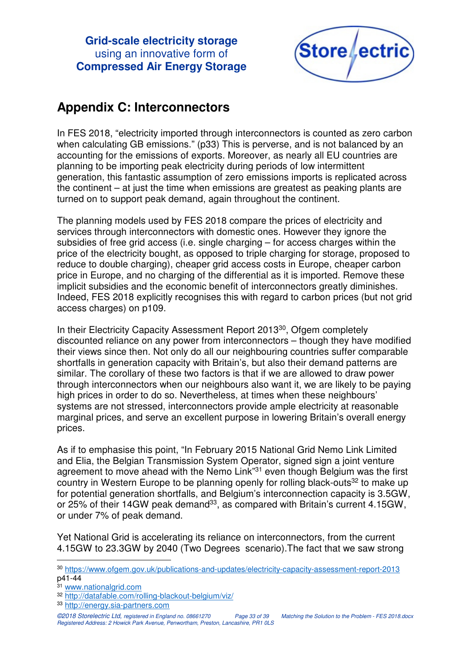![](_page_32_Picture_1.jpeg)

# **Appendix C: Interconnectors**

In FES 2018, "electricity imported through interconnectors is counted as zero carbon when calculating GB emissions." (p33) This is perverse, and is not balanced by an accounting for the emissions of exports. Moreover, as nearly all EU countries are planning to be importing peak electricity during periods of low intermittent generation, this fantastic assumption of zero emissions imports is replicated across the continent – at just the time when emissions are greatest as peaking plants are turned on to support peak demand, again throughout the continent.

The planning models used by FES 2018 compare the prices of electricity and services through interconnectors with domestic ones. However they ignore the subsidies of free grid access (i.e. single charging – for access charges within the price of the electricity bought, as opposed to triple charging for storage, proposed to reduce to double charging), cheaper grid access costs in Europe, cheaper carbon price in Europe, and no charging of the differential as it is imported. Remove these implicit subsidies and the economic benefit of interconnectors greatly diminishes. Indeed, FES 2018 explicitly recognises this with regard to carbon prices (but not grid access charges) on p109.

In their Electricity Capacity Assessment Report 2013<sup>30</sup>, Ofgem completely discounted reliance on any power from interconnectors – though they have modified their views since then. Not only do all our neighbouring countries suffer comparable shortfalls in generation capacity with Britain's, but also their demand patterns are similar. The corollary of these two factors is that if we are allowed to draw power through interconnectors when our neighbours also want it, we are likely to be paying high prices in order to do so. Nevertheless, at times when these neighbours' systems are not stressed, interconnectors provide ample electricity at reasonable marginal prices, and serve an excellent purpose in lowering Britain's overall energy prices.

As if to emphasise this point, "In February 2015 National Grid Nemo Link Limited and Elia, the Belgian Transmission System Operator, signed sign a joint venture agreement to move ahead with the Nemo Link<sup>"31</sup> even though Belgium was the first country in Western Europe to be planning openly for rolling black-outs<sup>32</sup> to make up for potential generation shortfalls, and Belgium's interconnection capacity is 3.5GW, or 25% of their 14GW peak demand<sup>33</sup>, as compared with Britain's current 4.15GW, or under 7% of peak demand.

Yet National Grid is accelerating its reliance on interconnectors, from the current 4.15GW to 23.3GW by 2040 (Two Degrees scenario).The fact that we saw strong

 $\overline{a}$ <sup>30</sup> https://www.ofgem.gov.uk/publications-and-updates/electricity-capacity-assessment-report-2013 p41-44

<sup>31</sup> www.nationalgrid.com

<sup>32</sup> http://datafable.com/rolling-blackout-belgium/viz/

<sup>33</sup> http://energy.sia-partners.com

<sup>©2018</sup> Storelectric Ltd, registered in England no. 08661270 Page 33 of 39 Matching the Solution to the Problem - FES 2018.docx Registered Address: 2 Howick Park Avenue, Penwortham, Preston, Lancashire, PR1 0LS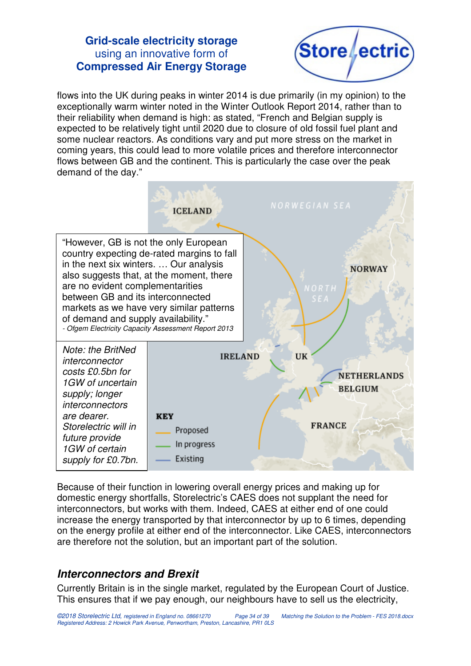![](_page_33_Picture_1.jpeg)

flows into the UK during peaks in winter 2014 is due primarily (in my opinion) to the exceptionally warm winter noted in the Winter Outlook Report 2014, rather than to their reliability when demand is high: as stated, "French and Belgian supply is expected to be relatively tight until 2020 due to closure of old fossil fuel plant and some nuclear reactors. As conditions vary and put more stress on the market in coming years, this could lead to more volatile prices and therefore interconnector flows between GB and the continent. This is particularly the case over the peak demand of the day."

![](_page_33_Figure_3.jpeg)

Because of their function in lowering overall energy prices and making up for domestic energy shortfalls, Storelectric's CAES does not supplant the need for interconnectors, but works with them. Indeed, CAES at either end of one could increase the energy transported by that interconnector by up to 6 times, depending on the energy profile at either end of the interconnector. Like CAES, interconnectors are therefore not the solution, but an important part of the solution.

#### **Interconnectors and Brexit**

Currently Britain is in the single market, regulated by the European Court of Justice. This ensures that if we pay enough, our neighbours have to sell us the electricity,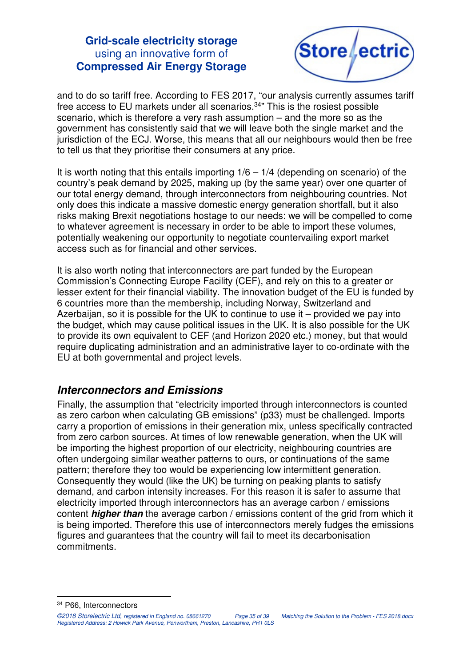![](_page_34_Picture_1.jpeg)

and to do so tariff free. According to FES 2017, "our analysis currently assumes tariff free access to EU markets under all scenarios.<sup>34</sup>" This is the rosiest possible scenario, which is therefore a very rash assumption – and the more so as the government has consistently said that we will leave both the single market and the jurisdiction of the ECJ. Worse, this means that all our neighbours would then be free to tell us that they prioritise their consumers at any price.

It is worth noting that this entails importing  $1/6 - 1/4$  (depending on scenario) of the country's peak demand by 2025, making up (by the same year) over one quarter of our total energy demand, through interconnectors from neighbouring countries. Not only does this indicate a massive domestic energy generation shortfall, but it also risks making Brexit negotiations hostage to our needs: we will be compelled to come to whatever agreement is necessary in order to be able to import these volumes, potentially weakening our opportunity to negotiate countervailing export market access such as for financial and other services.

It is also worth noting that interconnectors are part funded by the European Commission's Connecting Europe Facility (CEF), and rely on this to a greater or lesser extent for their financial viability. The innovation budget of the EU is funded by 6 countries more than the membership, including Norway, Switzerland and Azerbaijan, so it is possible for the UK to continue to use it – provided we pay into the budget, which may cause political issues in the UK. It is also possible for the UK to provide its own equivalent to CEF (and Horizon 2020 etc.) money, but that would require duplicating administration and an administrative layer to co-ordinate with the EU at both governmental and project levels.

#### **Interconnectors and Emissions**

Finally, the assumption that "electricity imported through interconnectors is counted as zero carbon when calculating GB emissions" (p33) must be challenged. Imports carry a proportion of emissions in their generation mix, unless specifically contracted from zero carbon sources. At times of low renewable generation, when the UK will be importing the highest proportion of our electricity, neighbouring countries are often undergoing similar weather patterns to ours, or continuations of the same pattern; therefore they too would be experiencing low intermittent generation. Consequently they would (like the UK) be turning on peaking plants to satisfy demand, and carbon intensity increases. For this reason it is safer to assume that electricity imported through interconnectors has an average carbon / emissions content **higher than** the average carbon / emissions content of the grid from which it is being imported. Therefore this use of interconnectors merely fudges the emissions figures and guarantees that the country will fail to meet its decarbonisation commitments.

34 P66, Interconnectors

 $\overline{a}$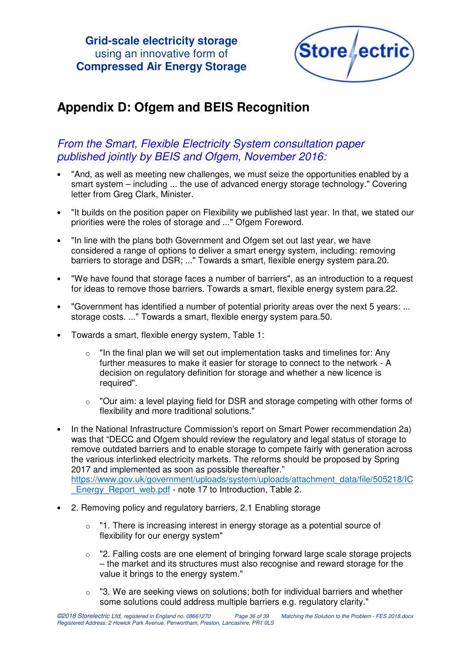![](_page_35_Picture_1.jpeg)

# **Appendix D: Ofgem and BEIS Recognition**

#### From the Smart, Flexible Electricity System consultation paper published jointly by BEIS and Ofgem, November 2016:

- "And, as well as meeting new challenges, we must seize the opportunities enabled by a smart system – including ... the use of advanced energy storage technology." Covering letter from Greg Clark, Minister.
- "It builds on the position paper on Flexibility we published last year. In that, we stated our priorities were the roles of storage and ..." Ofgem Foreword.
- "In line with the plans both Government and Ofgem set out last year, we have considered a range of options to deliver a smart energy system, including: removing barriers to storage and DSR; ..." Towards a smart, flexible energy system para.20.
- "We have found that storage faces a number of barriers", as an introduction to a request for ideas to remove those barriers. Towards a smart, flexible energy system para.22.
- "Government has identified a number of potential priority areas over the next 5 years: ... storage costs. ..." Towards a smart, flexible energy system para.50.
- Towards a smart, flexible energy system, Table 1:
	- o "In the final plan we will set out implementation tasks and timelines for: Any further measures to make it easier for storage to connect to the network - A decision on regulatory definition for storage and whether a new licence is required".
	- o "Our aim: a level playing field for DSR and storage competing with other forms of flexibility and more traditional solutions."
- In the National Infrastructure Commission's report on Smart Power recommendation 2a) was that "DECC and Ofgem should review the regulatory and legal status of storage to remove outdated barriers and to enable storage to compete fairly with generation across the various interlinked electricity markets. The reforms should be proposed by Spring 2017 and implemented as soon as possible thereafter." https://www.gov.uk/government/uploads/system/uploads/attachment\_data/file/505218/IC Energy\_Report\_web.pdf - note 17 to Introduction, Table 2.
- 2. Removing policy and regulatory barriers, 2.1 Enabling storage
	- o "1. There is increasing interest in energy storage as a potential source of flexibility for our energy system"
	- $\circ$  "2. Falling costs are one element of bringing forward large scale storage projects – the market and its structures must also recognise and reward storage for the value it brings to the energy system."
	- "3. We are seeking views on solutions; both for individual barriers and whether some solutions could address multiple barriers e.g. regulatory clarity."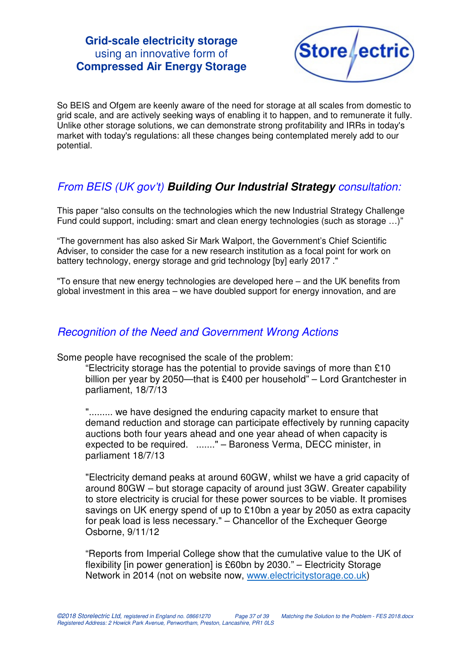![](_page_36_Picture_1.jpeg)

So BEIS and Ofgem are keenly aware of the need for storage at all scales from domestic to grid scale, and are actively seeking ways of enabling it to happen, and to remunerate it fully. Unlike other storage solutions, we can demonstrate strong profitability and IRRs in today's market with today's regulations: all these changes being contemplated merely add to our potential.

# From BEIS (UK gov't) **Building Our Industrial Strategy** consultation:

This paper "also consults on the technologies which the new Industrial Strategy Challenge Fund could support, including: smart and clean energy technologies (such as storage …)"

"The government has also asked Sir Mark Walport, the Government's Chief Scientific Adviser, to consider the case for a new research institution as a focal point for work on battery technology, energy storage and grid technology [by] early 2017 ."

"To ensure that new energy technologies are developed here – and the UK benefits from global investment in this area – we have doubled support for energy innovation, and are

#### Recognition of the Need and Government Wrong Actions

Some people have recognised the scale of the problem:

"Electricity storage has the potential to provide savings of more than £10 billion per year by 2050—that is £400 per household" – Lord Grantchester in parliament, 18/7/13

"......... we have designed the enduring capacity market to ensure that demand reduction and storage can participate effectively by running capacity auctions both four years ahead and one year ahead of when capacity is expected to be required. ......." – Baroness Verma, DECC minister, in parliament 18/7/13

"Electricity demand peaks at around 60GW, whilst we have a grid capacity of around 80GW – but storage capacity of around just 3GW. Greater capability to store electricity is crucial for these power sources to be viable. It promises savings on UK energy spend of up to £10bn a year by 2050 as extra capacity for peak load is less necessary." – Chancellor of the Exchequer George Osborne, 9/11/12

"Reports from Imperial College show that the cumulative value to the UK of flexibility [in power generation] is £60bn by 2030." – Electricity Storage Network in 2014 (not on website now, www.electricitystorage.co.uk)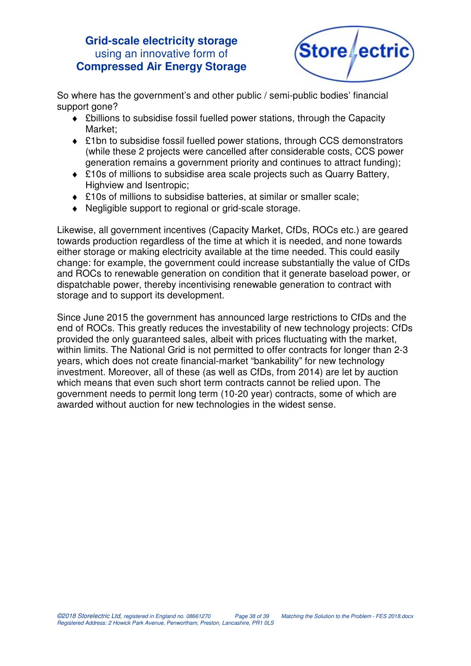![](_page_37_Picture_1.jpeg)

So where has the government's and other public / semi-public bodies' financial support gone?

- ♦ £billions to subsidise fossil fuelled power stations, through the Capacity Market;
- ♦ £1bn to subsidise fossil fuelled power stations, through CCS demonstrators (while these 2 projects were cancelled after considerable costs, CCS power generation remains a government priority and continues to attract funding);
- ♦ £10s of millions to subsidise area scale projects such as Quarry Battery, Highview and Isentropic;
- ♦ £10s of millions to subsidise batteries, at similar or smaller scale;
- ♦ Negligible support to regional or grid-scale storage.

Likewise, all government incentives (Capacity Market, CfDs, ROCs etc.) are geared towards production regardless of the time at which it is needed, and none towards either storage or making electricity available at the time needed. This could easily change: for example, the government could increase substantially the value of CfDs and ROCs to renewable generation on condition that it generate baseload power, or dispatchable power, thereby incentivising renewable generation to contract with storage and to support its development.

Since June 2015 the government has announced large restrictions to CfDs and the end of ROCs. This greatly reduces the investability of new technology projects: CfDs provided the only guaranteed sales, albeit with prices fluctuating with the market, within limits. The National Grid is not permitted to offer contracts for longer than 2-3 years, which does not create financial-market "bankability" for new technology investment. Moreover, all of these (as well as CfDs, from 2014) are let by auction which means that even such short term contracts cannot be relied upon. The government needs to permit long term (10-20 year) contracts, some of which are awarded without auction for new technologies in the widest sense.